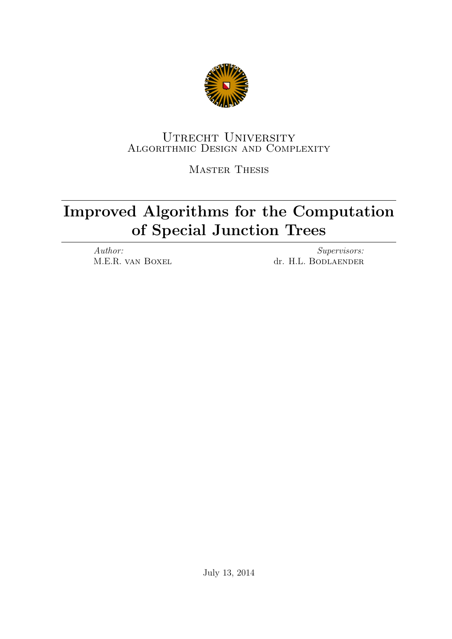

# UTRECHT UNIVERSITY Algorithmic Design and Complexity

Master Thesis

# Improved Algorithms for the Computation of Special Junction Trees

Author: M.E.R. van Boxel

Supervisors: dr. H.L. BODLAENDER

July 13, 2014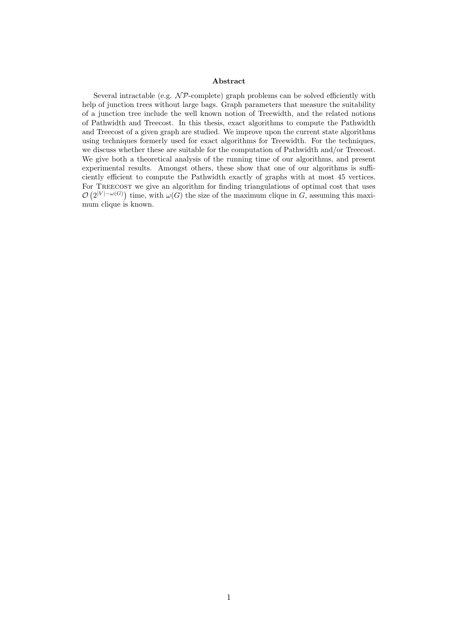#### Abstract

Several intractable (e.g.  $N\mathcal{P}$ -complete) graph problems can be solved efficiently with help of junction trees without large bags. Graph parameters that measure the suitability of a junction tree include the well known notion of Treewidth, and the related notions of Pathwidth and Treecost. In this thesis, exact algorithms to compute the Pathwidth and Treecost of a given graph are studied. We improve upon the current state algorithms using techniques formerly used for exact algorithms for Treewidth. For the techniques, we discuss whether these are suitable for the computation of Pathwidth and/or Treecost. We give both a theoretical analysis of the running time of our algorithms, and present experimental results. Amongst others, these show that one of our algorithms is sufficiently efficient to compute the Pathwidth exactly of graphs with at most 45 vertices. For TREECOST we give an algorithm for finding triangulations of optimal cost that uses  $\mathcal{O}(2^{|V|-\omega(G)})$  time, with  $\omega(G)$  the size of the maximum clique in G, assuming this maximum clique is known.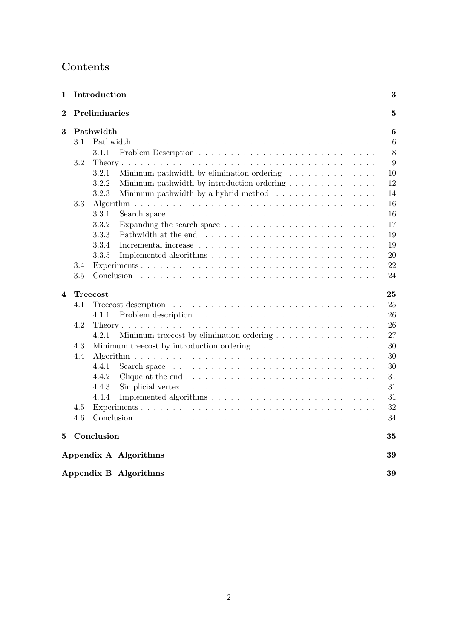# Contents

| 1                       |         | Introduction                                                                                | 3                |  |  |  |  |  |  |  |  |  |  |  |
|-------------------------|---------|---------------------------------------------------------------------------------------------|------------------|--|--|--|--|--|--|--|--|--|--|--|
| $\bf{2}$                |         | Preliminaries<br>$\mathbf{5}$                                                               |                  |  |  |  |  |  |  |  |  |  |  |  |
| 3                       |         | Pathwidth                                                                                   | 6                |  |  |  |  |  |  |  |  |  |  |  |
|                         | 3.1     |                                                                                             | $\boldsymbol{6}$ |  |  |  |  |  |  |  |  |  |  |  |
|                         |         | 3.1.1                                                                                       | 8                |  |  |  |  |  |  |  |  |  |  |  |
|                         | 3.2     |                                                                                             |                  |  |  |  |  |  |  |  |  |  |  |  |
|                         |         | Minimum pathwidth by elimination ordering $\ldots \ldots \ldots \ldots$<br>3.2.1            | 10               |  |  |  |  |  |  |  |  |  |  |  |
|                         |         | 3.2.2<br>Minimum pathwidth by introduction ordering                                         | 12               |  |  |  |  |  |  |  |  |  |  |  |
|                         |         | Minimum pathwidth by a hybrid method $\ldots \ldots \ldots \ldots \ldots$<br>3.2.3          | 14               |  |  |  |  |  |  |  |  |  |  |  |
|                         | 3.3     |                                                                                             | 16               |  |  |  |  |  |  |  |  |  |  |  |
|                         |         | 3.3.1                                                                                       | 16               |  |  |  |  |  |  |  |  |  |  |  |
|                         |         | 3.3.2<br>Expanding the search space $\dots \dots \dots \dots \dots \dots \dots \dots \dots$ | 17               |  |  |  |  |  |  |  |  |  |  |  |
|                         |         | 3.3.3                                                                                       | 19               |  |  |  |  |  |  |  |  |  |  |  |
|                         |         | 3.3.4                                                                                       | 19               |  |  |  |  |  |  |  |  |  |  |  |
|                         |         | 3.3.5                                                                                       | 20               |  |  |  |  |  |  |  |  |  |  |  |
|                         | $3.4\,$ |                                                                                             |                  |  |  |  |  |  |  |  |  |  |  |  |
|                         | 3.5     |                                                                                             | 22<br>24         |  |  |  |  |  |  |  |  |  |  |  |
| $\overline{\mathbf{4}}$ |         | <b>Treecost</b>                                                                             | 25               |  |  |  |  |  |  |  |  |  |  |  |
|                         | 4.1     |                                                                                             | 25               |  |  |  |  |  |  |  |  |  |  |  |
|                         |         | 4.1.1                                                                                       | 26               |  |  |  |  |  |  |  |  |  |  |  |
|                         | 4.2     |                                                                                             | 26               |  |  |  |  |  |  |  |  |  |  |  |
|                         |         | Minimum treecost by elimination ordering $\dots \dots \dots \dots \dots$<br>4.2.1           | 27               |  |  |  |  |  |  |  |  |  |  |  |
|                         | 4.3     | Minimum treecost by introduction ordering                                                   | 30               |  |  |  |  |  |  |  |  |  |  |  |
|                         | 4.4     |                                                                                             | 30               |  |  |  |  |  |  |  |  |  |  |  |
|                         |         | 4.4.1                                                                                       | 30               |  |  |  |  |  |  |  |  |  |  |  |
|                         |         | 4.4.2                                                                                       | 31               |  |  |  |  |  |  |  |  |  |  |  |
|                         |         | 4.4.3                                                                                       | 31               |  |  |  |  |  |  |  |  |  |  |  |
|                         |         | 4.4.4                                                                                       | 31               |  |  |  |  |  |  |  |  |  |  |  |
|                         | 4.5     |                                                                                             | 32               |  |  |  |  |  |  |  |  |  |  |  |
|                         | 4.6     |                                                                                             | 34               |  |  |  |  |  |  |  |  |  |  |  |
| 5                       |         | Conclusion                                                                                  | 35               |  |  |  |  |  |  |  |  |  |  |  |
|                         |         | Appendix A Algorithms                                                                       | 39               |  |  |  |  |  |  |  |  |  |  |  |
|                         |         | Appendix B Algorithms                                                                       | 39               |  |  |  |  |  |  |  |  |  |  |  |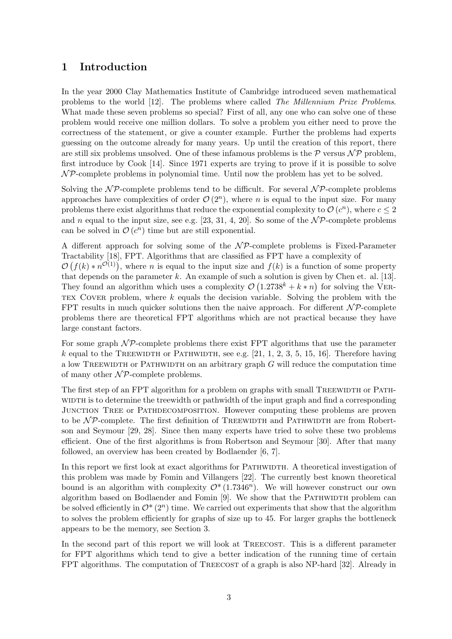# 1 Introduction

In the year 2000 Clay Mathematics Institute of Cambridge introduced seven mathematical problems to the world [12]. The problems where called The Millennium Prize Problems. What made these seven problems so special? First of all, any one who can solve one of these problem would receive one million dollars. To solve a problem you either need to prove the correctness of the statement, or give a counter example. Further the problems had experts guessing on the outcome already for many years. Up until the creation of this report, there are still six problems unsolved. One of these infamous problems is the  $\mathcal P$  versus  $\mathcal N\mathcal P$  problem, first introduce by Cook [14]. Since 1971 experts are trying to prove if it is possible to solve  $\mathcal{NP}$ -complete problems in polynomial time. Until now the problem has yet to be solved.

Solving the  $\mathcal{NP}$ -complete problems tend to be difficult. For several  $\mathcal{NP}$ -complete problems approaches have complexities of order  $\mathcal{O}(2^n)$ , where *n* is equal to the input size. For many problems there exist algorithms that reduce the exponential complexity to  $\mathcal{O}(c^n)$ , where  $c \leq 2$ and n equal to the input size, see e.g. [23, 31, 4, 20]. So some of the  $N\mathcal{P}$ -complete problems can be solved in  $\mathcal{O}(c^n)$  time but are still exponential.

A different approach for solving some of the  $N\mathcal{P}$ -complete problems is Fixed-Parameter Tractability [18], FPT. Algorithms that are classified as FPT have a complexity of  $\mathcal{O}(f(k) * n^{\mathcal{O}(1)})$ , where *n* is equal to the input size and  $f(k)$  is a function of some property that depends on the parameter  $k$ . An example of such a solution is given by Chen et. al. [13]. They found an algorithm which uses a complexity  $\mathcal{O}(1.2738^k + k * n)$  for solving the VER-TEX COVER problem, where  $k$  equals the decision variable. Solving the problem with the FPT results in much quicker solutions then the naive approach. For different  $\mathcal{NP}$ -complete problems there are theoretical FPT algorithms which are not practical because they have large constant factors.

For some graph  $N\mathcal{P}$ -complete problems there exist FPT algorithms that use the parameter k equal to the TREEWIDTH or PATHWIDTH, see e.g.  $[21, 1, 2, 3, 5, 15, 16]$ . Therefore having a low TREEWIDTH or PATHWIDTH on an arbitrary graph  $G$  will reduce the computation time of many other  $\mathcal{NP}$ -complete problems.

The first step of an FPT algorithm for a problem on graphs with small TREEWIDTH or PATHwidth is to determine the treewidth or pathwidth of the input graph and find a corresponding Junction Tree or Pathdecomposition. However computing these problems are proven to be  $\mathcal{NP}$ -complete. The first definition of TREEWIDTH and PATHWIDTH are from Robertson and Seymour [29, 28]. Since then many experts have tried to solve these two problems efficient. One of the first algorithms is from Robertson and Seymour [30]. After that many followed, an overview has been created by Bodlaender [6, 7].

In this report we first look at exact algorithms for PATHWIDTH. A theoretical investigation of this problem was made by Fomin and Villangers [22]. The currently best known theoretical bound is an algorithm with complexity  $\mathcal{O}^*(1.7346^n)$ . We will however construct our own algorithm based on Bodlaender and Fomin [9]. We show that the PATHWIDTH problem can be solved efficiently in  $\mathcal{O}^*(2^n)$  time. We carried out experiments that show that the algorithm to solves the problem efficiently for graphs of size up to 45. For larger graphs the bottleneck appears to be the memory, see Section 3.

In the second part of this report we will look at TREECOST. This is a different parameter for FPT algorithms which tend to give a better indication of the running time of certain FPT algorithms. The computation of TREECOST of a graph is also NP-hard [32]. Already in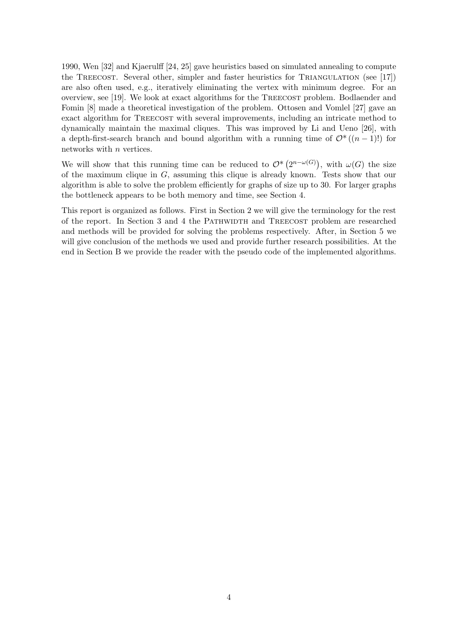1990, Wen [32] and Kjaerulff [24, 25] gave heuristics based on simulated annealing to compute the TREECOST. Several other, simpler and faster heuristics for TRIANGULATION (see [17]) are also often used, e.g., iteratively eliminating the vertex with minimum degree. For an overview, see [19]. We look at exact algorithms for the TREECOST problem. Bodlaender and Fomin [8] made a theoretical investigation of the problem. Ottosen and Vomlel [27] gave an exact algorithm for TREECOST with several improvements, including an intricate method to dynamically maintain the maximal cliques. This was improved by Li and Ueno [26], with a depth-first-search branch and bound algorithm with a running time of  $\mathcal{O}^*((n-1)!)$  for networks with *n* vertices.

We will show that this running time can be reduced to  $\mathcal{O}^*(2^{n-\omega(G)})$ , with  $\omega(G)$  the size of the maximum clique in G, assuming this clique is already known. Tests show that our algorithm is able to solve the problem efficiently for graphs of size up to 30. For larger graphs the bottleneck appears to be both memory and time, see Section 4.

This report is organized as follows. First in Section 2 we will give the terminology for the rest of the report. In Section 3 and 4 the Pathwidth and Treecost problem are researched and methods will be provided for solving the problems respectively. After, in Section 5 we will give conclusion of the methods we used and provide further research possibilities. At the end in Section B we provide the reader with the pseudo code of the implemented algorithms.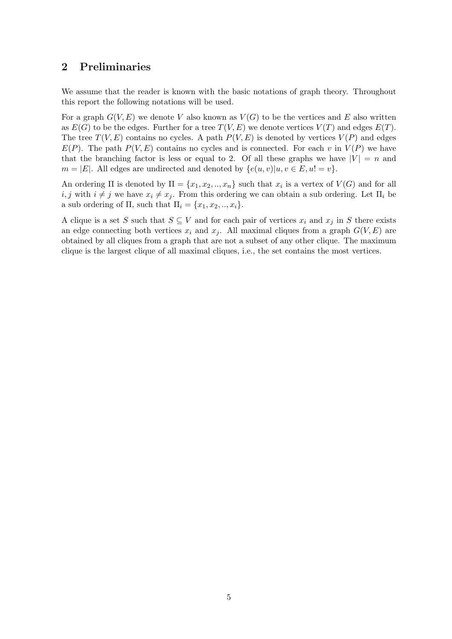# 2 Preliminaries

We assume that the reader is known with the basic notations of graph theory. Throughout this report the following notations will be used.

For a graph  $G(V, E)$  we denote V also known as  $V(G)$  to be the vertices and E also written as  $E(G)$  to be the edges. Further for a tree  $T(V, E)$  we denote vertices  $V(T)$  and edges  $E(T)$ . The tree  $T(V, E)$  contains no cycles. A path  $P(V, E)$  is denoted by vertices  $V(P)$  and edges  $E(P)$ . The path  $P(V, E)$  contains no cycles and is connected. For each v in  $V(P)$  we have that the branching factor is less or equal to 2. Of all these graphs we have  $|V| = n$  and  $m = |E|$ . All edges are undirected and denoted by  $\{e(u, v)|u, v \in E, u\}$ .

An ordering  $\Pi$  is denoted by  $\Pi = \{x_1, x_2, ..., x_n\}$  such that  $x_i$  is a vertex of  $V(G)$  and for all i, j with  $i \neq j$  we have  $x_i \neq x_j$ . From this ordering we can obtain a sub ordering. Let  $\Pi_i$  be a sub ordering of  $\Pi$ , such that  $\Pi_i = \{x_1, x_2, \ldots, x_i\}.$ 

A clique is a set S such that  $S \subseteq V$  and for each pair of vertices  $x_i$  and  $x_j$  in S there exists an edge connecting both vertices  $x_i$  and  $x_j$ . All maximal cliques from a graph  $G(V, E)$  are obtained by all cliques from a graph that are not a subset of any other clique. The maximum clique is the largest clique of all maximal cliques, i.e., the set contains the most vertices.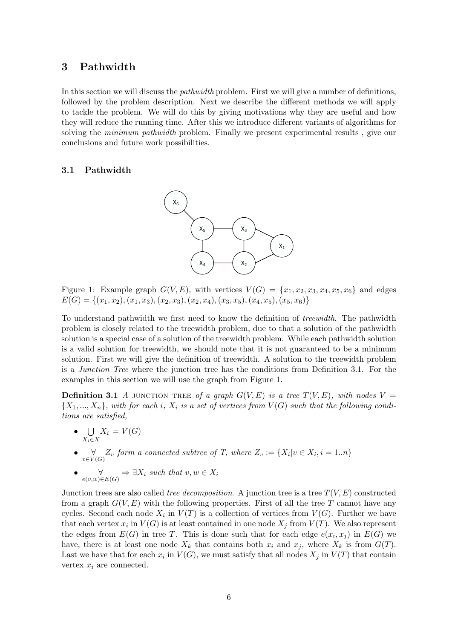# 3 Pathwidth

In this section we will discuss the *pathwidth* problem. First we will give a number of definitions, followed by the problem description. Next we describe the different methods we will apply to tackle the problem. We will do this by giving motivations why they are useful and how they will reduce the running time. After this we introduce different variants of algorithms for solving the *minimum pathwidth* problem. Finally we present experimental results, give our conclusions and future work possibilities.

# 3.1 Pathwidth



Figure 1: Example graph  $G(V, E)$ , with vertices  $V(G) = \{x_1, x_2, x_3, x_4, x_5, x_6\}$  and edges  $E(G) = \{(x_1, x_2), (x_1, x_3), (x_2, x_3), (x_2, x_4), (x_3, x_5), (x_4, x_5), (x_5, x_6)\}\$ 

To understand pathwidth we first need to know the definition of treewidth. The pathwidth problem is closely related to the treewidth problem, due to that a solution of the pathwidth solution is a special case of a solution of the treewidth problem. While each pathwidth solution is a valid solution for treewidth, we should note that it is not guaranteed to be a minimum solution. First we will give the definition of treewidth. A solution to the treewidth problem is a Junction Tree where the junction tree has the conditions from Definition 3.1. For the examples in this section we will use the graph from Figure 1.

**Definition 3.1** A JUNCTION TREE of a graph  $G(V, E)$  is a tree  $T(V, E)$ , with nodes  $V =$  $\{X_1, ..., X_n\}$ , with for each i,  $X_i$  is a set of vertices from  $V(G)$  such that the following conditions are satisfied,

- U  $X_i \in X$  $X_i = V(G)$
- $\forall \forall C \in V(G)$  form a connected subtree of T, where  $Z_v := \{X_i | v \in X_i, i = 1..n\}$
- $\forall$   $\forall$   $\forall$   $\Rightarrow$   $\exists X_i$  such that  $v, w \in X_i$

Junction trees are also called *tree decomposition*. A junction tree is a tree  $T(V, E)$  constructed from a graph  $G(V, E)$  with the following properties. First of all the tree T cannot have any cycles. Second each node  $X_i$  in  $V(T)$  is a collection of vertices from  $V(G)$ . Further we have that each vertex  $x_i$  in  $V(G)$  is at least contained in one node  $X_j$  from  $V(T)$ . We also represent the edges from  $E(G)$  in tree T. This is done such that for each edge  $e(x_i, x_j)$  in  $E(G)$  we have, there is at least one node  $X_k$  that contains both  $x_i$  and  $x_j$ , where  $X_k$  is from  $G(T)$ . Last we have that for each  $x_i$  in  $V(G)$ , we must satisfy that all nodes  $X_j$  in  $V(T)$  that contain vertex  $x_i$  are connected.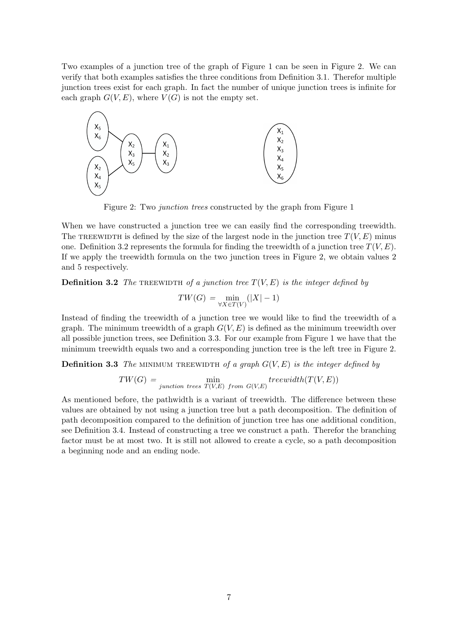Two examples of a junction tree of the graph of Figure 1 can be seen in Figure 2. We can verify that both examples satisfies the three conditions from Definition 3.1. Therefor multiple junction trees exist for each graph. In fact the number of unique junction trees is infinite for each graph  $G(V, E)$ , where  $V(G)$  is not the empty set.



Figure 2: Two junction trees constructed by the graph from Figure 1

When we have constructed a junction tree we can easily find the corresponding treewidth. The TREEWIDTH is defined by the size of the largest node in the junction tree  $T(V, E)$  minus one. Definition 3.2 represents the formula for finding the treewidth of a junction tree  $T(V, E)$ . If we apply the treewidth formula on the two junction trees in Figure 2, we obtain values 2 and 5 respectively.

**Definition 3.2** The TREEWIDTH of a junction tree  $T(V, E)$  is the integer defined by

$$
TW(G) = \min_{\forall X \in T(V)} (|X| - 1)
$$

Instead of finding the treewidth of a junction tree we would like to find the treewidth of a graph. The minimum treewidth of a graph  $G(V, E)$  is defined as the minimum treewidth over all possible junction trees, see Definition 3.3. For our example from Figure 1 we have that the minimum treewidth equals two and a corresponding junction tree is the left tree in Figure 2.

**Definition 3.3** The MINIMUM TREEWIDTH of a graph  $G(V, E)$  is the integer defined by

$$
TW(G) = \min_{junction\ trees}\ min_{T(V,E)\ from\ G(V,E)}treewidth(T(V,E))
$$

As mentioned before, the pathwidth is a variant of treewidth. The difference between these values are obtained by not using a junction tree but a path decomposition. The definition of path decomposition compared to the definition of junction tree has one additional condition, see Definition 3.4. Instead of constructing a tree we construct a path. Therefor the branching factor must be at most two. It is still not allowed to create a cycle, so a path decomposition a beginning node and an ending node.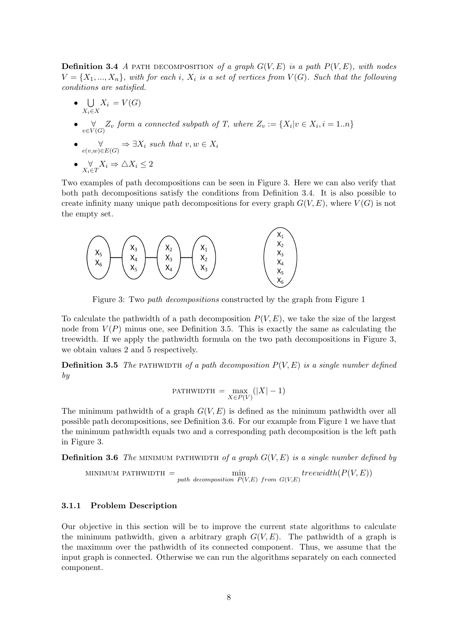**Definition 3.4** A part decomposition of a graph  $G(V, E)$  is a path  $P(V, E)$ , with nodes  $V = \{X_1, ..., X_n\}$ , with for each i,  $X_i$  is a set of vertices from  $V(G)$ . Such that the following conditions are satisfied.

- $\bullet$  U  $X_i \in X$  $X_i = V(G)$
- $\forall \forall Z_v \text{ form a connected subpath of } T, \text{ where } Z_v := \{X_i | v \in X_i, i = 1..n\}$
- $\forall$   $\forall$   $\forall$   $\Rightarrow$   $\exists X_i$  such that  $v, w \in X_i$
- $\bullet$   $\underset{X_i \in T}{\forall} X_i \Rightarrow \triangle X_i \leq 2$

Two examples of path decompositions can be seen in Figure 3. Here we can also verify that both path decompositions satisfy the conditions from Definition 3.4. It is also possible to create infinity many unique path decompositions for every graph  $G(V, E)$ , where  $V(G)$  is not the empty set.



Figure 3: Two path decompositions constructed by the graph from Figure 1

To calculate the pathwidth of a path decomposition  $P(V, E)$ , we take the size of the largest node from  $V(P)$  minus one, see Definition 3.5. This is exactly the same as calculating the treewidth. If we apply the pathwidth formula on the two path decompositions in Figure 3, we obtain values 2 and 5 respectively.

**Definition 3.5** The PATHWIDTH of a path decomposition  $P(V, E)$  is a single number defined by

$$
\mathrm{PATHWIDTH} = \max_{X \in P(V)}(|X| - 1)
$$

The minimum pathwidth of a graph  $G(V, E)$  is defined as the minimum pathwidth over all possible path decompositions, see Definition 3.6. For our example from Figure 1 we have that the minimum pathwidth equals two and a corresponding path decomposition is the left path in Figure 3.

**Definition 3.6** The MINIMUM PATHWIDTH of a graph  $G(V, E)$  is a single number defined by

MINIMUM PATHWIDTH = 
$$
\min_{path\ decomposition} P(V,E) \ from\ G(V,E)
$$

# 3.1.1 Problem Description

Our objective in this section will be to improve the current state algorithms to calculate the minimum pathwidth, given a arbitrary graph  $G(V, E)$ . The pathwidth of a graph is the maximum over the pathwidth of its connected component. Thus, we assume that the input graph is connected. Otherwise we can run the algorithms separately on each connected component.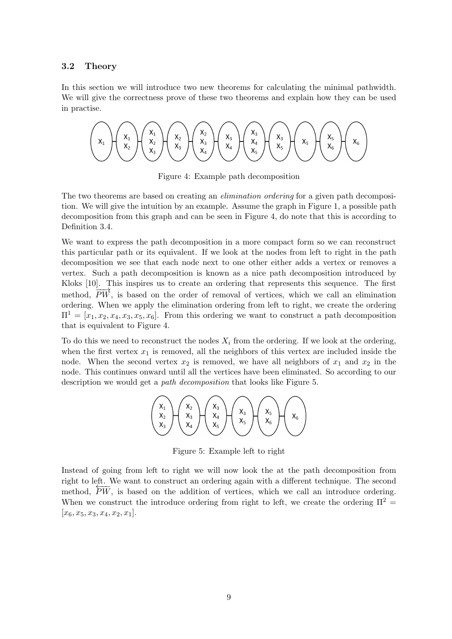#### 3.2 Theory

In this section we will introduce two new theorems for calculating the minimal pathwidth. We will give the correctness prove of these two theorems and explain how they can be used in practise.



Figure 4: Example path decomposition

The two theorems are based on creating an *elimination ordering* for a given path decomposition. We will give the intuition by an example. Assume the graph in Figure 1, a possible path decomposition from this graph and can be seen in Figure 4, do note that this is according to Definition 3.4.

We want to express the path decomposition in a more compact form so we can reconstruct this particular path or its equivalent. If we look at the nodes from left to right in the path decomposition we see that each node next to one other either adds a vertex or removes a vertex. Such a path decomposition is known as a nice path decomposition introduced by Kloks [10]. This inspires us to create an ordering that represents this sequence. The first method,  $\overrightarrow{PW}$ , is based on the order of removal of vertices, which we call an elimination ordering. When we apply the elimination ordering from left to right, we create the ordering  $\Pi^1 = [x_1, x_2, x_4, x_3, x_5, x_6]$ . From this ordering we want to construct a path decomposition that is equivalent to Figure 4.

To do this we need to reconstruct the nodes  $X_i$  from the ordering. If we look at the ordering, when the first vertex  $x_1$  is removed, all the neighbors of this vertex are included inside the node. When the second vertex  $x_2$  is removed, we have all neighbors of  $x_1$  and  $x_2$  in the node. This continues onward until all the vertices have been eliminated. So according to our description we would get a path decomposition that looks like Figure 5.



Figure 5: Example left to right

Instead of going from left to right we will now look the at the path decomposition from right to left. We want to construct an ordering again with a different technique. The second method,  $\overline{PW}$ , is based on the addition of vertices, which we call an introduce ordering. When we construct the introduce ordering from right to left, we create the ordering  $\Pi^2 =$  $[x_6, x_5, x_3, x_4, x_2, x_1].$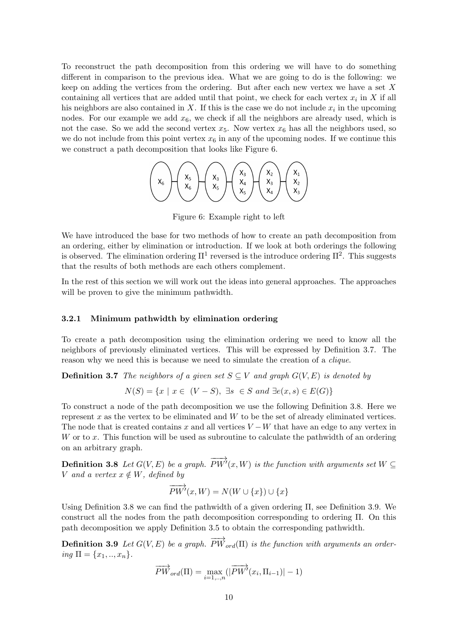To reconstruct the path decomposition from this ordering we will have to do something different in comparison to the previous idea. What we are going to do is the following: we keep on adding the vertices from the ordering. But after each new vertex we have a set  $X$ containing all vertices that are added until that point, we check for each vertex  $x_i$  in X if all his neighbors are also contained in X. If this is the case we do not include  $x_i$  in the upcoming nodes. For our example we add  $x<sub>6</sub>$ , we check if all the neighbors are already used, which is not the case. So we add the second vertex  $x_5$ . Now vertex  $x_6$  has all the neighbors used, so we do not include from this point vertex  $x_6$  in any of the upcoming nodes. If we continue this we construct a path decomposition that looks like Figure 6.



Figure 6: Example right to left

We have introduced the base for two methods of how to create an path decomposition from an ordering, either by elimination or introduction. If we look at both orderings the following is observed. The elimination ordering  $\Pi^1$  reversed is the introduce ordering  $\Pi^2$ . This suggests that the results of both methods are each others complement.

In the rest of this section we will work out the ideas into general approaches. The approaches will be proven to give the minimum pathwidth.

#### 3.2.1 Minimum pathwidth by elimination ordering

To create a path decomposition using the elimination ordering we need to know all the neighbors of previously eliminated vertices. This will be expressed by Definition 3.7. The reason why we need this is because we need to simulate the creation of a *clique*.

**Definition 3.7** The neighbors of a given set  $S \subseteq V$  and graph  $G(V, E)$  is denoted by

$$
N(S) = \{x \mid x \in (V - S), \exists s \in S \text{ and } \exists e(x, s) \in E(G)\}
$$

To construct a node of the path decomposition we use the following Definition 3.8. Here we represent  $x$  as the vertex to be eliminated and  $W$  to be the set of already eliminated vertices. The node that is created contains x and all vertices  $V - W$  that have an edge to any vertex in W or to x. This function will be used as subroutine to calculate the pathwidth of an ordering on an arbitrary graph.

**Definition 3.8** Let  $G(V, E)$  be a graph.  $\overrightarrow{PW'}(x, W)$  is the function with arguments set  $W \subseteq$ V and a vertex  $x \notin W$ , defined by

$$
\overrightarrow{PW'}(x,W) = N(W \cup \{x\}) \cup \{x\}
$$

Using Definition 3.8 we can find the pathwidth of a given ordering  $\Pi$ , see Definition 3.9. We construct all the nodes from the path decomposition corresponding to ordering Π. On this path decomposition we apply Definition 3.5 to obtain the corresponding pathwidth.

**Definition 3.9** Let  $G(V, E)$  be a graph.  $\overrightarrow{PW}_{ord}(\Pi)$  is the function with arguments an ordering  $\Pi = \{x_1, ..., x_n\}.$ 

$$
\overrightarrow{PW}_{ord}(\Pi)=\max_{i=1,..,n}(|\overrightarrow{PW'}(x_i,\Pi_{i-1})|-1)
$$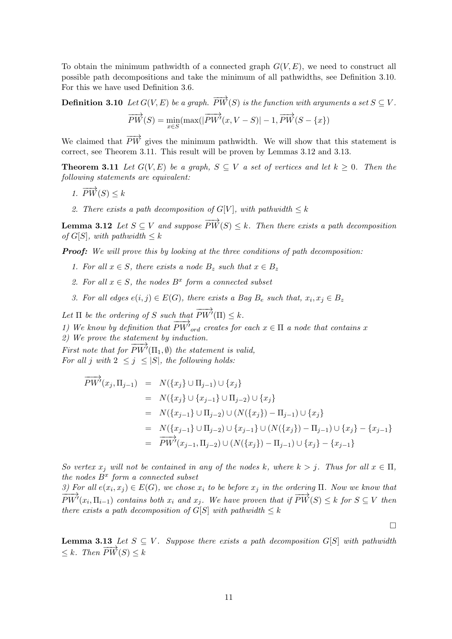To obtain the minimum pathwidth of a connected graph  $G(V, E)$ , we need to construct all possible path decompositions and take the minimum of all pathwidths, see Definition 3.10. For this we have used Definition 3.6.

**Definition 3.10** Let  $G(V, E)$  be a graph.  $\overrightarrow{PW}(S)$  is the function with arguments a set  $S \subseteq V$ .  $\overrightarrow{PW}(S) = \min_{x \in S} (\max(\vert$  $\overrightarrow{PW'}(x, V-S)$ | – 1,  $\overrightarrow{PW}(S-\{x\})$ 

We claimed that  $\overrightarrow{PW}$  gives the minimum pathwidth. We will show that this statement is correct, see Theorem 3.11. This result will be proven by Lemmas 3.12 and 3.13.

**Theorem 3.11** Let  $G(V, E)$  be a graph,  $S \subseteq V$  a set of vertices and let  $k \geq 0$ . Then the following statements are equivalent:

- 1.  $\overrightarrow{PW}(S) \leq k$
- 2. There exists a path decomposition of  $G[V]$ , with pathwidth  $\leq k$

**Lemma 3.12** Let  $S \subseteq V$  and suppose  $\overrightarrow{PW}(S) \leq k$ . Then there exists a path decomposition of  $G[S]$ , with pathwidth  $\leq k$ 

**Proof:** We will prove this by looking at the three conditions of path decomposition:

- 1. For all  $x \in S$ , there exists a node  $B_z$  such that  $x \in B_z$
- 2. For all  $x \in S$ , the nodes  $B^x$  form a connected subset
- 3. For all edges  $e(i, j) \in E(G)$ , there exists a Bag  $B_e$  such that,  $x_i, x_j \in B_z$

Let  $\Pi$  be the ordering of S such that  $\overrightarrow{PW'}(\Pi) \leq k.$ 

1) We know by definition that  $\overrightarrow{PW'}_{ord}$  creates for each  $x \in \Pi$  a node that contains x

2) We prove the statement by induction.

First note that for  $\overrightarrow{PW'}(\Pi_1, \emptyset)$  the statement is valid, For all j with  $2 \leq j \leq |S|$ , the following holds:

$$
\overrightarrow{PW'}(x_j, \Pi_{j-1}) = N(\{x_j\} \cup \Pi_{j-1}) \cup \{x_j\} \n= N(\{x_j\} \cup \{x_{j-1}\} \cup \Pi_{j-2}) \cup \{x_j\} \n= N(\{x_{j-1}\} \cup \Pi_{j-2}) \cup (N(\{x_j\}) - \Pi_{j-1}) \cup \{x_j\} \n= N(\{x_{j-1}\} \cup \Pi_{j-2}) \cup \{x_{j-1}\} \cup (N(\{x_j\}) - \Pi_{j-1}) \cup \{x_j\} - \{x_{j-1}\} \n= \overrightarrow{PW'}(x_{j-1}, \Pi_{j-2}) \cup (N(\{x_j\}) - \Pi_{j-1}) \cup \{x_j\} - \{x_{j-1}\}
$$

So vertex  $x_j$  will not be contained in any of the nodes k, where  $k > j$ . Thus for all  $x \in \Pi$ , the nodes  $B^x$  form a connected subset

3) For all  $e(x_i, x_j) \in E(G)$ , we chose  $x_i$  to be before  $x_j$  in the ordering  $\Pi$ . Now we know that  $\overline{PW'}(x_i,\Pi_{i-1})$  contains both  $x_i$  and  $x_j$ . We have proven that if  $\overline{PW}(S) \leq k$  for  $S \subseteq V$  then there exists a path decomposition of  $G[S]$  with pathwidth  $\leq k$ 

 $\Box$ 

**Lemma 3.13** Let  $S \subseteq V$ . Suppose there exists a path decomposition  $G[S]$  with pathwidth  $\langle k. \text{ Then } \overrightarrow{PW}(S) \rangle \langle k \rangle$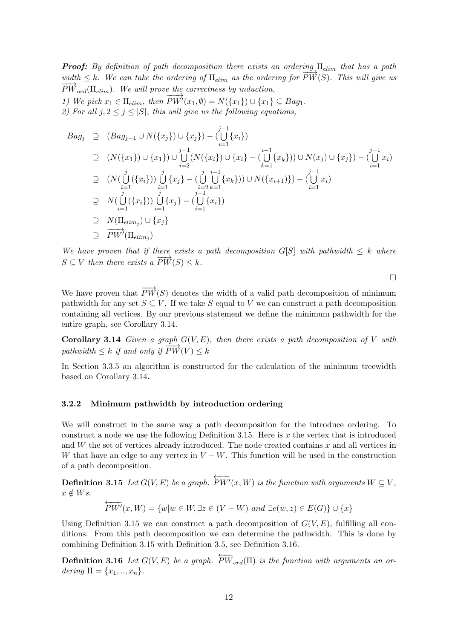**Proof:** By definition of path decomposition there exists an ordering  $\Pi_{elim}$  that has a path width  $\leq k$ . We can take the ordering of  $\Pi_{elim}$  as the ordering for  $\overrightarrow{PW}(S)$ . This will give us  $\overrightarrow{PW}_{ord}(\Pi_{elim})$ . We will prove the correctness by induction,  $\overrightarrow{PW'}(x_1,\emptyset) = N(\{x_1\}) \cup \{x_1\} \subseteq Bag_1.$ 

1) We pick  $x_1 \in \Pi_{elim}$ , then 2) For all  $j, 2 \le j \le |S|$ , this will give us the following equations,

$$
Bag_j \supseteq (Bag_{j-1} \cup N(\{x_j\}) \cup \{x_j\}) - (\bigcup_{i=1}^{j-1} \{x_i\})
$$
  
\n
$$
\supseteq (N(\{x_1\}) \cup \{x_1\}) \cup \bigcup_{i=2}^{j-1} (N(\{x_i\}) \cup \{x_i\} - (\bigcup_{k=1}^{i-1} \{x_k\})) \cup N(x_j) \cup \{x_j\}) - (\bigcup_{i=1}^{j-1} x_i)
$$
  
\n
$$
\supseteq (N(\bigcup_{i=1}^{j} (\{x_i\})) \bigcup_{i=1}^{j} \{x_j\} - (\bigcup_{i=2}^{j} \bigcup_{k=1}^{i-1} \{x_k\})) \cup N(\{x_{i+1}\}) - (\bigcup_{i=1}^{j-1} x_i)
$$
  
\n
$$
\supseteq N(\bigcup_{i=1}^{j} (\{x_i\})) \bigcup_{i=1}^{j-1} \{x_j\} - (\bigcup_{i=1}^{j-1} \{x_i\})
$$
  
\n
$$
\supseteq N(\Pi_{elim_j}) \cup \{x_j\}
$$
  
\n
$$
\supseteq \overrightarrow{PW'}(\Pi_{elim_j})
$$

We have proven that if there exists a path decomposition  $G[S]$  with pathwidth  $\leq k$  where  $S \subseteq V$  then there exists a  $\overrightarrow{PW}(S) \leq k$ .

 $\Box$ 

We have proven that  $\overrightarrow{PW}(S)$  denotes the width of a valid path decomposition of minimum pathwidth for any set  $S \subseteq V$ . If we take S equal to V we can construct a path decomposition containing all vertices. By our previous statement we define the minimum pathwidth for the entire graph, see Corollary 3.14.

Corollary 3.14 Given a graph  $G(V, E)$ , then there exists a path decomposition of V with pathwidth  $\leq k$  if and only if  $\overrightarrow{PW}(V) \leq k$ 

In Section 3.3.5 an algorithm is constructed for the calculation of the minimum treewidth based on Corollary 3.14.

## 3.2.2 Minimum pathwidth by introduction ordering

We will construct in the same way a path decomposition for the introduce ordering. To construct a node we use the following Definition 3.15. Here is  $x$  the vertex that is introduced and  $W$  the set of vertices already introduced. The node created contains  $x$  and all vertices in W that have an edge to any vertex in  $V - W$ . This function will be used in the construction of a path decomposition.

**Definition 3.15** Let  $G(V, E)$  be a graph.  $\overleftarrow{PW'}(x,W)$  is the function with arguments  $W \subseteq V$ ,  $x \notin Ws$ .

$$
\overleftarrow{PW'}(x,W) = \{w|w \in W, \exists z \in (V - W) \text{ and } \exists e(w, z) \in E(G)\} \cup \{x\}
$$

Using Definition 3.15 we can construct a path decomposition of  $G(V, E)$ , fulfilling all conditions. From this path decomposition we can determine the pathwidth. This is done by combining Definition 3.15 with Definition 3.5, see Definition 3.16.

**Definition 3.16** Let  $G(V, E)$  be a graph.  $\overleftarrow{PW}_{ord}(\Pi)$  is the function with arguments an ordering  $\Pi = \{x_1, ..., x_n\}.$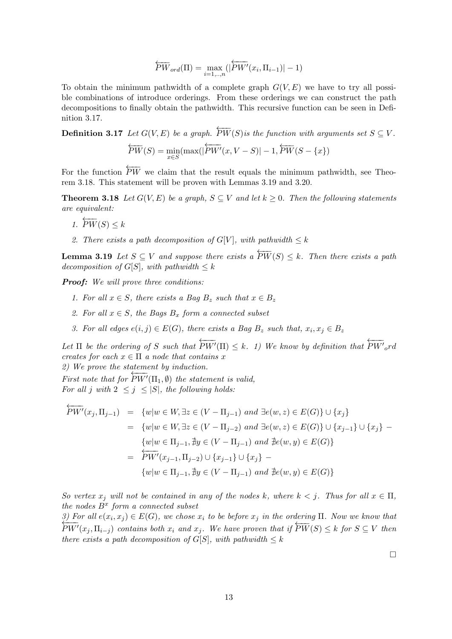$$
\overleftarrow{PW}_{ord}(\Pi) = \max_{i=1,\dots,n}(|\overleftarrow{PW'}(x_i,\Pi_{i-1})| - 1)
$$

To obtain the minimum pathwidth of a complete graph  $G(V, E)$  we have to try all possible combinations of introduce orderings. From these orderings we can construct the path decompositions to finally obtain the pathwidth. This recursive function can be seen in Definition 3.17.

**Definition 3.17** Let  $G(V, E)$  be a graph.  $\overleftarrow{PW}(S)$  is the function with arguments set  $S \subseteq V$ .

$$
\overleftarrow{PW}(S) = \min_{x \in S} (\max(|\overleftarrow{PW}'(x, V - S)| - 1, \overleftarrow{PW}(S - \{x\})
$$

For the function  $\overleftarrow{PW}$  we claim that the result equals the minimum pathwidth, see Theorem 3.18. This statement will be proven with Lemmas 3.19 and 3.20.

**Theorem 3.18** Let  $G(V, E)$  be a graph,  $S \subseteq V$  and let  $k \geq 0$ . Then the following statements are equivalent:

- 1.  $\overleftarrow{PW}(S) \leq k$
- 2. There exists a path decomposition of  $G[V]$ , with pathwidth  $\leq k$

**Lemma 3.19** Let  $S \subseteq V$  and suppose there exists a  $\overleftarrow{PW}(S) \leq k$ . Then there exists a path decomposition of  $G[S]$ , with pathwidth  $\leq k$ 

**Proof:** We will prove three conditions:

- 1. For all  $x \in S$ , there exists a Bag  $B_z$  such that  $x \in B_z$
- 2. For all  $x \in S$ , the Bags  $B_x$  form a connected subset
- 3. For all edges  $e(i, j) \in E(G)$ , there exists a Bag  $B_z$  such that,  $x_i, x_j \in B_z$

Let  $\Pi$  be the ordering of S such that  $\overleftarrow{PW'}(\Pi) \leq k$ . 1) We know by definition that  $\overleftarrow{PW'}_{o}rd$ creates for each  $x \in \Pi$  a node that contains x

2) We prove the statement by induction.

First note that for  $\overleftarrow{PW'}(\Pi_1,\emptyset)$  the statement is valid, For all j with  $2 \leq j \leq |S|$ , the following holds:

$$
\overleftarrow{PW'}(x_j, \Pi_{j-1}) = \{w|w \in W, \exists z \in (V - \Pi_{j-1}) \text{ and } \exists e(w, z) \in E(G)\} \cup \{x_j\}
$$
  
\n
$$
= \{w|w \in W, \exists z \in (V - \Pi_{j-2}) \text{ and } \exists e(w, z) \in E(G)\} \cup \{x_{j-1}\} \cup \{x_j\} - \{w|w \in \Pi_{j-1}, \nexists y \in (V - \Pi_{j-1}) \text{ and } \nexists e(w, y) \in E(G)\}
$$
  
\n
$$
= \overleftarrow{PW'}(x_{j-1}, \Pi_{j-2}) \cup \{x_{j-1}\} \cup \{x_j\} - \{w|w \in \Pi_{j-1}, \nexists y \in (V - \Pi_{j-1}) \text{ and } \nexists e(w, y) \in E(G)\}
$$

So vertex  $x_j$  will not be contained in any of the nodes k, where  $k < j$ . Thus for all  $x \in \Pi$ , the nodes  $B<sup>x</sup>$  form a connected subset

3) For all  $e(x_i, x_j) \in E(G)$ , we chose  $x_i$  to be before  $x_j$  in the ordering  $\Pi$ . Now we know that  $\overline{PW'}(x_j,\Pi_{i-j})$  contains both  $x_i$  and  $x_j$ . We have proven that if  $\overline{PW}(S) \leq k$  for  $S \subseteq V$  then there exists a path decomposition of  $G[S]$ , with pathwidth  $\leq k$ 

 $\Box$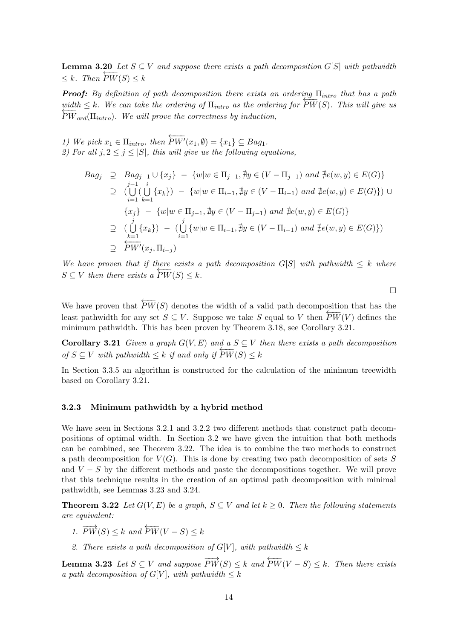**Lemma 3.20** Let  $S \subseteq V$  and suppose there exists a path decomposition  $G[S]$  with pathwidth  $\leq k$ . Then  $PW(S) \leq k$ 

**Proof:** By definition of path decomposition there exists an ordering  $\Pi$ <sub>intro</sub> that has a path width  $\leq k$ . We can take the ordering of  $\Pi_{intro}$  as the ordering for  $PW(S)$ . This will give us<br>  $\overrightarrow{PW}(S)$ . This will give us  $\overline{PW}_{ord}(\Pi_{intra})$ . We will prove the correctness by induction,

1) We pick  $x_1 \in \Pi_{intro}$ , then  $\overleftarrow{PW'}(x_1,\emptyset) = \{x_1\} \subseteq Bag_1.$ 2) For all  $j, 2 \leq j \leq |S|$ , this will give us the following equations,

$$
Bag_j \supseteq Bag_{j-1} \cup \{x_j\} - \{w|w \in \Pi_{j-1}, \nexists y \in (V - \Pi_{j-1}) \text{ and } \nexists e(w, y) \in E(G)\}
$$
  
\n
$$
\supseteq (\bigcup_{i=1}^{j-1} {\{x_k\}}) - \{w|w \in \Pi_{i-1}, \nexists y \in (V - \Pi_{i-1}) \text{ and } \nexists e(w, y) \in E(G)\}) \cup
$$
  
\n
$$
\{x_j\} - \{w|w \in \Pi_{j-1}, \nexists y \in (V - \Pi_{j-1}) \text{ and } \nexists e(w, y) \in E(G)\}
$$
  
\n
$$
\supseteq (\bigcup_{k=1}^{j} {\{x_k\}}) - (\bigcup_{i=1}^{j} {\{w|w \in \Pi_{i-1}, \nexists y \in (V - \Pi_{i-1}) \text{ and } \nexists e(w, y) \in E(G)\}})
$$
  
\n
$$
\supseteq \overbrace{PW'(x_j, \Pi_{i-j})}^{j-1}
$$

We have proven that if there exists a path decomposition  $G[S]$  with pathwidth  $\leq k$  where  $S \subseteq V$  then there exists a  $\overline{PW}(S) \leq k$ .

 $\Box$ 

We have proven that  $\overleftarrow{PW}(S)$  denotes the width of a valid path decomposition that has the least pathwidth for any set  $S \subseteq V$ . Suppose we take S equal to V then  $PW(V)$  defines the minimum pathwidth. This has been proven by Theorem 3.18, see Corollary 3.21.

Corollary 3.21 Given a graph  $G(V, E)$  and a  $S \subseteq V$  then there exists a path decomposition of  $S \subseteq V$  with pathwidth  $\leq k$  if and only if  $PW(S) \leq k$ 

In Section 3.3.5 an algorithm is constructed for the calculation of the minimum treewidth based on Corollary 3.21.

#### 3.2.3 Minimum pathwidth by a hybrid method

We have seen in Sections 3.2.1 and 3.2.2 two different methods that construct path decompositions of optimal width. In Section 3.2 we have given the intuition that both methods can be combined, see Theorem 3.22. The idea is to combine the two methods to construct a path decomposition for  $V(G)$ . This is done by creating two path decomposition of sets S and  $V - S$  by the different methods and paste the decompositions together. We will prove that this technique results in the creation of an optimal path decomposition with minimal pathwidth, see Lemmas 3.23 and 3.24.

**Theorem 3.22** Let  $G(V, E)$  be a graph,  $S \subseteq V$  and let  $k \geq 0$ . Then the following statements are equivalent:

- 1.  $\overrightarrow{PW}(S) \leq k$  and  $\overleftarrow{PW}(V-S) \leq k$
- 2. There exists a path decomposition of  $G[V]$ , with pathwidth  $\leq k$

**Lemma 3.23** Let  $S \subseteq V$  and suppose  $\overrightarrow{PW}(S) \leq k$  and  $\overleftarrow{PW}(V-S) \leq k$ . Then there exists a path decomposition of  $G[V]$ , with pathwidth  $\leq k$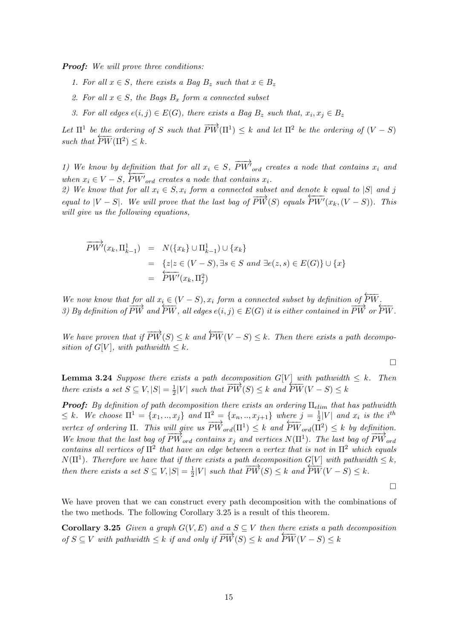**Proof:** We will prove three conditions:

- 1. For all  $x \in S$ , there exists a Bag  $B_z$  such that  $x \in B_z$
- 2. For all  $x \in S$ , the Bags  $B_x$  form a connected subset
- 3. For all edges  $e(i, j) \in E(G)$ , there exists a Bag  $B_z$  such that,  $x_i, x_j \in B_z$

Let  $\Pi^1$  be the ordering of S such that  $\overrightarrow{PW}(\Pi^1) \leq k$  and let  $\Pi^2$  be the ordering of  $(V-S)$ such that  $\overleftrightarrow{PW}(\Pi^2) \leq k$ .

1) We know by definition that for all  $x_i \in S$ ,  $\overrightarrow{PW'}_{ord}$  creates a node that contains  $x_i$  and when  $x_i \in V - S$ ,  $PW'_{ord}$  creates a node that contains  $x_i$ .

2) We know that for all  $x_i \in S$ ,  $x_i$  form a connected subset and denote k equal to  $|S|$  and j equal to  $|V - S|$ . We will prove that the last bag of  $\overline{PW}(S)$  equals  $\overline{PW'}(x_k,(V - S))$ . This will give us the following equations,

$$
\overrightarrow{PW'}(x_k, \Pi_{k-1}^1) = N(\{x_k\} \cup \Pi_{k-1}^1) \cup \{x_k\} \n= \{z | z \in (V - S), \exists s \in S \text{ and } \exists e(z, s) \in E(G)\} \cup \{x\} \n= \overleftarrow{PW'}(x_k, \Pi_j^2)
$$

We now know that for all  $x_i \in (V - S)$ ,  $x_i$  form a connected subset by definition of  $\overleftarrow{PW}$ . 3) By definition of  $\overline{PW}$  and  $\overline{PW}$ , all edges  $e(i, j) \in E(G)$  it is either contained in  $\overline{PW}$  or  $\overline{PW}$ .

We have proven that if  $\overrightarrow{PW}(S) \leq k$  and  $\overleftarrow{PW}(V-S) \leq k$ . Then there exists a path decomposition of  $G[V]$ , with pathwidth  $\leq k$ .

$$
\Box
$$

**Lemma 3.24** Suppose there exists a path decomposition  $G[V]$  with pathwidth  $\leq k$ . Then there exists a set  $S \subseteq V, |S| = \frac{1}{2}$  $\frac{1}{2}|V|$  such that  $\overline{PW}(S) \leq k$  and  $\overline{PW}(V-S) \leq k$ 

**Proof:** By definition of path decomposition there exists an ordering  $\Pi_{elim}$  that has pathwidth  $\leq k$ . We choose  $\Pi^1 = \{x_1, ..., x_j\}$  and  $\Pi^2 = \{x_n, ..., x_{j+1}\}$  where  $j = \frac{1}{2}$  $\frac{1}{2}|V|$  and  $x_i$  is the i<sup>th</sup> vertex of ordering  $\Pi$ . This will give us  $\overrightarrow{PW}_{ord}(\Pi^1) \leq k$  and  $\overleftarrow{PW}_{ord}(\Pi^2) \leq k$  by definition. We know that the last bag of  $\overline{PW}_{ord}$  contains  $x_j$  and vertices  $N(\Pi^1)$ . The last bag of  $\overline{PW}_{ord}$ contains all vertices of  $\Pi^2$  that have an edge between a vertex that is not in  $\Pi^2$  which equals  $N(\Pi^1)$ . Therefore we have that if there exists a path decomposition  $G[V]$  with pathwidth  $\leq k$ , then there exists a set  $S \subseteq V, |S| = \frac{1}{2}$  $\frac{1}{2}|V|$  such that  $\overrightarrow{PW}(S) \leq k$  and  $\overrightarrow{PW}(V-S) \leq k$ .

 $\Box$ 

We have proven that we can construct every path decomposition with the combinations of the two methods. The following Corollary 3.25 is a result of this theorem.

Corollary 3.25 Given a graph  $G(V, E)$  and a  $S \subseteq V$  then there exists a path decomposition of  $S \subseteq V$  with pathwidth  $\leq k$  if and only if  $\overline{PW}(S) \leq k$  and  $\overline{PW}(V-S) \leq k$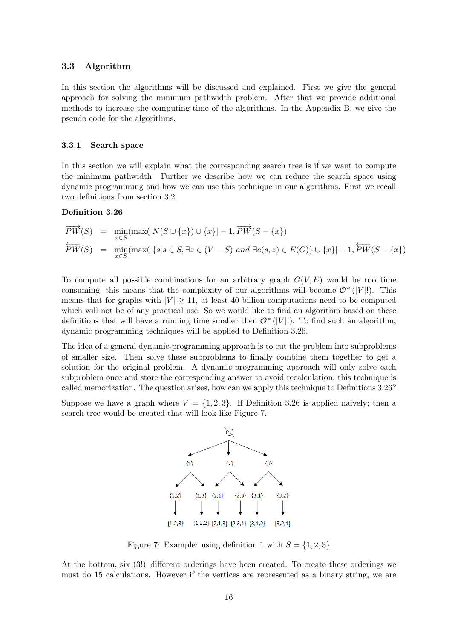# 3.3 Algorithm

In this section the algorithms will be discussed and explained. First we give the general approach for solving the minimum pathwidth problem. After that we provide additional methods to increase the computing time of the algorithms. In the Appendix B, we give the pseudo code for the algorithms.

# 3.3.1 Search space

In this section we will explain what the corresponding search tree is if we want to compute the minimum pathwidth. Further we describe how we can reduce the search space using dynamic programming and how we can use this technique in our algorithms. First we recall two definitions from section 3.2.

# Definition 3.26

$$
\overrightarrow{PW}(S) = \min_{x \in S} (\max(|N(S \cup \{x\}) \cup \{x\}| - 1, \overrightarrow{PW}(S - \{x\}))
$$
\n
$$
\overleftarrow{PW}(S) = \min_{x \in S} (\max(|\{s|s \in S, \exists z \in (V - S) \text{ and } \exists e(s, z) \in E(G)\} \cup \{x\}| - 1, \overleftarrow{PW}(S - \{x\})
$$

To compute all possible combinations for an arbitrary graph  $G(V, E)$  would be too time consuming, this means that the complexity of our algorithms will become  $\mathcal{O}^*(|V|!)$ . This means that for graphs with  $|V| \ge 11$ , at least 40 billion computations need to be computed which will not be of any practical use. So we would like to find an algorithm based on these definitions that will have a running time smaller then  $\mathcal{O}^*(|V|!)$ . To find such an algorithm, dynamic programming techniques will be applied to Definition 3.26.

The idea of a general dynamic-programming approach is to cut the problem into subproblems of smaller size. Then solve these subproblems to finally combine them together to get a solution for the original problem. A dynamic-programming approach will only solve each subproblem once and store the corresponding answer to avoid recalculation; this technique is called memorization. The question arises, how can we apply this technique to Definitions 3.26?

Suppose we have a graph where  $V = \{1, 2, 3\}$ . If Definition 3.26 is applied naively; then a search tree would be created that will look like Figure 7.



Figure 7: Example: using definition 1 with  $S = \{1, 2, 3\}$ 

At the bottom, six (3!) different orderings have been created. To create these orderings we must do 15 calculations. However if the vertices are represented as a binary string, we are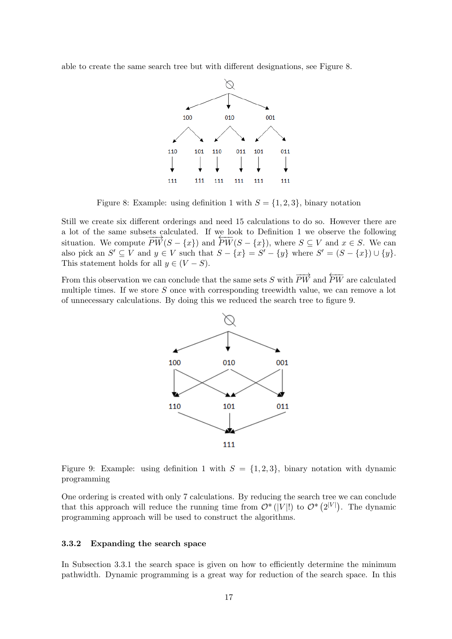able to create the same search tree but with different designations, see Figure 8.



Figure 8: Example: using definition 1 with  $S = \{1, 2, 3\}$ , binary notation

Still we create six different orderings and need 15 calculations to do so. However there are a lot of the same subsets calculated. If we look to Definition 1 we observe the following situation. We compute  $\overline{PW}(S - \{x\})$  and  $\overline{PW}(S - \{x\})$ , where  $S \subseteq V$  and  $x \in S$ . We can also pick an  $S' \subseteq V$  and  $y \in V$  such that  $S - \{x\} = S' - \{y\}$  where  $S' = (S - \{x\}) \cup \{y\}$ . This statement holds for all  $y \in (V - S)$ .

From this observation we can conclude that the same sets S with  $\overrightarrow{PW}$  and  $\overleftarrow{PW}$  are calculated multiple times. If we store  $S$  once with corresponding treewidth value, we can remove a lot of unnecessary calculations. By doing this we reduced the search tree to figure 9.



Figure 9: Example: using definition 1 with  $S = \{1, 2, 3\}$ , binary notation with dynamic programming

One ordering is created with only 7 calculations. By reducing the search tree we can conclude that this approach will reduce the running time from  $\mathcal{O}^*(|V|!)$  to  $\mathcal{O}^*(2^{|V|})$ . The dynamic programming approach will be used to construct the algorithms.

# 3.3.2 Expanding the search space

In Subsection 3.3.1 the search space is given on how to efficiently determine the minimum pathwidth. Dynamic programming is a great way for reduction of the search space. In this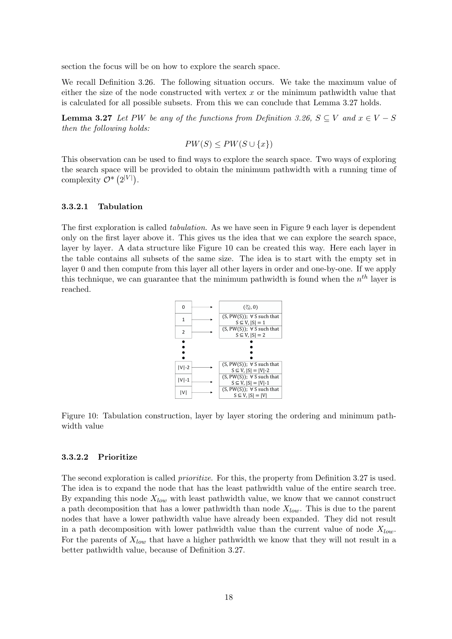section the focus will be on how to explore the search space.

We recall Definition 3.26. The following situation occurs. We take the maximum value of either the size of the node constructed with vertex  $x$  or the minimum pathwidth value that is calculated for all possible subsets. From this we can conclude that Lemma 3.27 holds.

**Lemma 3.27** Let PW be any of the functions from Definition 3.26,  $S \subseteq V$  and  $x \in V - S$ then the following holds:

$$
PW(S) \le PW(S \cup \{x\})
$$

This observation can be used to find ways to explore the search space. Two ways of exploring the search space will be provided to obtain the minimum pathwidth with a running time of complexity  $\mathcal{O}^*\left(2^{|V|}\right)$ .

#### 3.3.2.1 Tabulation

The first exploration is called *tabulation*. As we have seen in Figure 9 each layer is dependent only on the first layer above it. This gives us the idea that we can explore the search space, layer by layer. A data structure like Figure 10 can be created this way. Here each layer in the table contains all subsets of the same size. The idea is to start with the empty set in layer 0 and then compute from this layer all other layers in order and one-by-one. If we apply this technique, we can guarantee that the minimum pathwidth is found when the  $n^{th}$  layer is reached.



Figure 10: Tabulation construction, layer by layer storing the ordering and minimum pathwidth value

#### 3.3.2.2 Prioritize

The second exploration is called *prioritize*. For this, the property from Definition 3.27 is used. The idea is to expand the node that has the least pathwidth value of the entire search tree. By expanding this node  $X_{low}$  with least pathwidth value, we know that we cannot construct a path decomposition that has a lower pathwidth than node  $X_{low}$ . This is due to the parent nodes that have a lower pathwidth value have already been expanded. They did not result in a path decomposition with lower pathwidth value than the current value of node  $X_{low}$ . For the parents of  $X_{low}$  that have a higher pathwidth we know that they will not result in a better pathwidth value, because of Definition 3.27.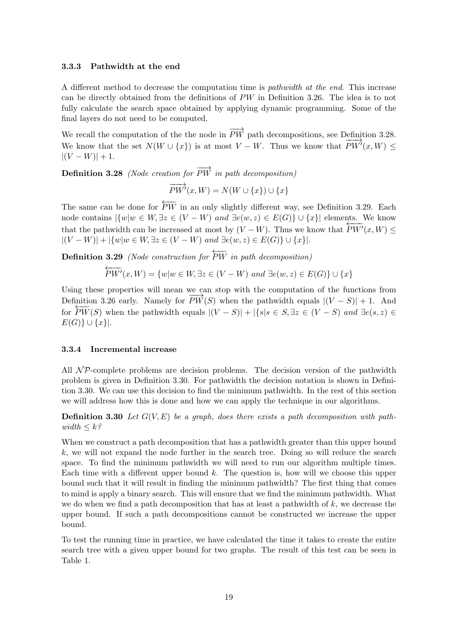## 3.3.3 Pathwidth at the end

A different method to decrease the computation time is pathwidth at the end. This increase can be directly obtained from the definitions of PW in Definition 3.26. The idea is to not fully calculate the search space obtained by applying dynamic programming. Some of the final layers do not need to be computed.

We recall the computation of the the node in  $\overrightarrow{PW}$  path decompositions, see Definition 3.28. We know that the set  $N(W \cup \{x\})$  is at most  $V - W$ . Thus we know that  $\overrightarrow{PW'}(x, W) \leq$  $|(V - W)| + 1.$ 

**Definition 3.28** (Node creation for  $\overrightarrow{PW}$  in path decomposition)

$$
\overrightarrow{PW'}(x,W)=N(W\cup\{x\})\cup\{x\}
$$

The same can be done for  $\overleftarrow{PW}$  in an only slightly different way, see Definition 3.29. Each node contains  $|\{w|w \in W, \exists z \in (V - W) \text{ and } \exists e(w, z) \in E(G)\} \cup \{x\}|$  elements. We know that the pathwidth can be increased at most by  $(V - W)$ . Thus we know that  $F_{\text{FW}}(x, W) \leq$  $|(V - W)| + |\{w|w \in W, \exists z \in (V - W) \text{ and } \exists e(w, z) \in E(G)\} \cup \{x\}|.$ 

**Definition 3.29** (Node construction for  $\overleftarrow{PW}$  in path decomposition)

$$
\overleftarrow{PW'}(x,W) = \{w|w \in W, \exists z \in (V - W) \text{ and } \exists e(w, z) \in E(G)\} \cup \{x\}
$$

Using these properties will mean we can stop with the computation of the functions from Definition 3.26 early. Namely for  $\overrightarrow{PW}(S)$  when the pathwidth equals  $|(V-S)|+1$ . And For  $FW(S)$  when the pathwidth equals  $|(V - S)| + |\{s | s \in S, \exists z \in (V - S) \text{ and } \exists e(s, z) \in$  $E(G)\}\cup \{x\}$ .

#### 3.3.4 Incremental increase

All  $\mathcal{NP}$ -complete problems are decision problems. The decision version of the pathwidth problem is given in Definition 3.30. For pathwidth the decision notation is shown in Definition 3.30. We can use this decision to find the minimum pathwidth. In the rest of this section we will address how this is done and how we can apply the technique in our algorithms.

**Definition 3.30** Let  $G(V, E)$  be a graph, does there exists a path decomposition with pathwidth  $\leq k$ ?

When we construct a path decomposition that has a pathwidth greater than this upper bound  $k$ , we will not expand the node further in the search tree. Doing so will reduce the search space. To find the minimum pathwidth we will need to run our algorithm multiple times. Each time with a different upper bound  $k$ . The question is, how will we choose this upper bound such that it will result in finding the minimum pathwidth? The first thing that comes to mind is apply a binary search. This will ensure that we find the minimum pathwidth. What we do when we find a path decomposition that has at least a pathwidth of  $k$ , we decrease the upper bound. If such a path decompositions cannot be constructed we increase the upper bound.

To test the running time in practice, we have calculated the time it takes to create the entire search tree with a given upper bound for two graphs. The result of this test can be seen in Table 1.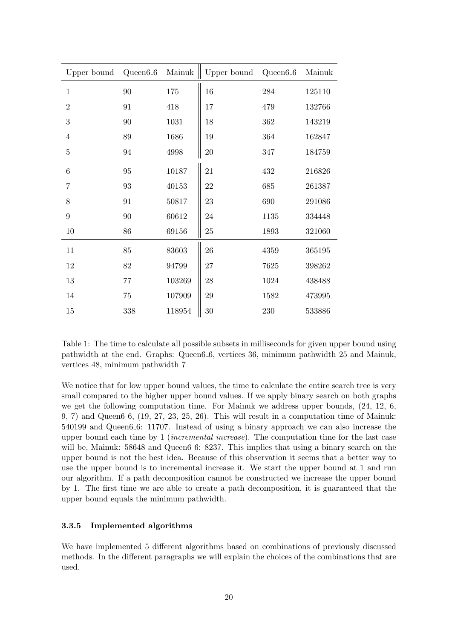| Upper bound      | $Queen 6_6$ | Mainuk | Upper bound | Queen <sub>6_6</sub> | Mainuk |
|------------------|-------------|--------|-------------|----------------------|--------|
| $1\,$            | 90          | 175    | 16          | ${\bf 284}$          | 125110 |
| $\overline{2}$   | 91          | 418    | 17          | 479                  | 132766 |
| 3                | 90          | 1031   | 18          | 362                  | 143219 |
| $\overline{4}$   | 89          | 1686   | 19          | 364                  | 162847 |
| $\overline{5}$   | 94          | 4998   | $20\,$      | 347                  | 184759 |
| $\boldsymbol{6}$ | 95          | 10187  | 21          | 432                  | 216826 |
| $\overline{7}$   | 93          | 40153  | 22          | 685                  | 261387 |
| 8                | 91          | 50817  | 23          | 690                  | 291086 |
| 9                | 90          | 60612  | 24          | 1135                 | 334448 |
| 10               | 86          | 69156  | $25\,$      | 1893                 | 321060 |
| 11               | 85          | 83603  | 26          | 4359                 | 365195 |
| 12               | 82          | 94799  | 27          | 7625                 | 398262 |
| 13               | 77          | 103269 | 28          | 1024                 | 438488 |
| 14               | 75          | 107909 | $\,29$      | 1582                 | 473995 |
| 15               | 338         | 118954 | $30\,$      | 230                  | 533886 |

Table 1: The time to calculate all possible subsets in milliseconds for given upper bound using pathwidth at the end. Graphs: Queen6 6, vertices 36, minimum pathwidth 25 and Mainuk, vertices 48, minimum pathwidth 7

We notice that for low upper bound values, the time to calculate the entire search tree is very small compared to the higher upper bound values. If we apply binary search on both graphs we get the following computation time. For Mainuk we address upper bounds, (24, 12, 6, 9, 7) and Queen6 6, (19, 27, 23, 25, 26). This will result in a computation time of Mainuk: 540199 and Queen6 6: 11707. Instead of using a binary approach we can also increase the upper bound each time by  $1$  (*incremental increase*). The computation time for the last case will be, Mainuk: 58648 and Queen6.6: 8237. This implies that using a binary search on the upper bound is not the best idea. Because of this observation it seems that a better way to use the upper bound is to incremental increase it. We start the upper bound at 1 and run our algorithm. If a path decomposition cannot be constructed we increase the upper bound by 1. The first time we are able to create a path decomposition, it is guaranteed that the upper bound equals the minimum pathwidth.

# 3.3.5 Implemented algorithms

We have implemented 5 different algorithms based on combinations of previously discussed methods. In the different paragraphs we will explain the choices of the combinations that are used.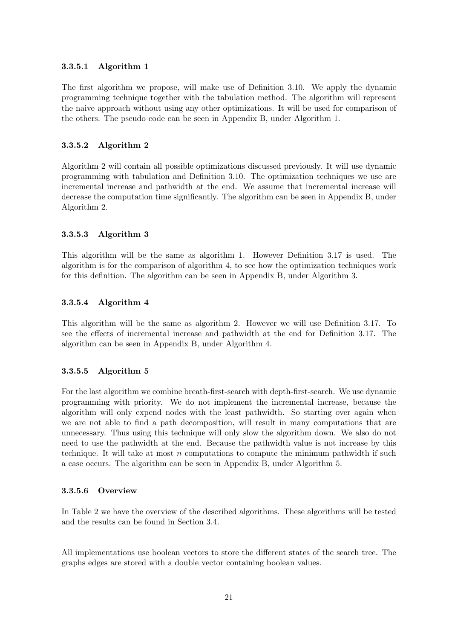# 3.3.5.1 Algorithm 1

The first algorithm we propose, will make use of Definition 3.10. We apply the dynamic programming technique together with the tabulation method. The algorithm will represent the naive approach without using any other optimizations. It will be used for comparison of the others. The pseudo code can be seen in Appendix B, under Algorithm 1.

# 3.3.5.2 Algorithm 2

Algorithm 2 will contain all possible optimizations discussed previously. It will use dynamic programming with tabulation and Definition 3.10. The optimization techniques we use are incremental increase and pathwidth at the end. We assume that incremental increase will decrease the computation time significantly. The algorithm can be seen in Appendix B, under Algorithm 2.

# 3.3.5.3 Algorithm 3

This algorithm will be the same as algorithm 1. However Definition 3.17 is used. The algorithm is for the comparison of algorithm 4, to see how the optimization techniques work for this definition. The algorithm can be seen in Appendix B, under Algorithm 3.

# 3.3.5.4 Algorithm 4

This algorithm will be the same as algorithm 2. However we will use Definition 3.17. To see the effects of incremental increase and pathwidth at the end for Definition 3.17. The algorithm can be seen in Appendix B, under Algorithm 4.

# 3.3.5.5 Algorithm 5

For the last algorithm we combine breath-first-search with depth-first-search. We use dynamic programming with priority. We do not implement the incremental increase, because the algorithm will only expend nodes with the least pathwidth. So starting over again when we are not able to find a path decomposition, will result in many computations that are unnecessary. Thus using this technique will only slow the algorithm down. We also do not need to use the pathwidth at the end. Because the pathwidth value is not increase by this technique. It will take at most n computations to compute the minimum pathwidth if such a case occurs. The algorithm can be seen in Appendix B, under Algorithm 5.

# 3.3.5.6 Overview

In Table 2 we have the overview of the described algorithms. These algorithms will be tested and the results can be found in Section 3.4.

All implementations use boolean vectors to store the different states of the search tree. The graphs edges are stored with a double vector containing boolean values.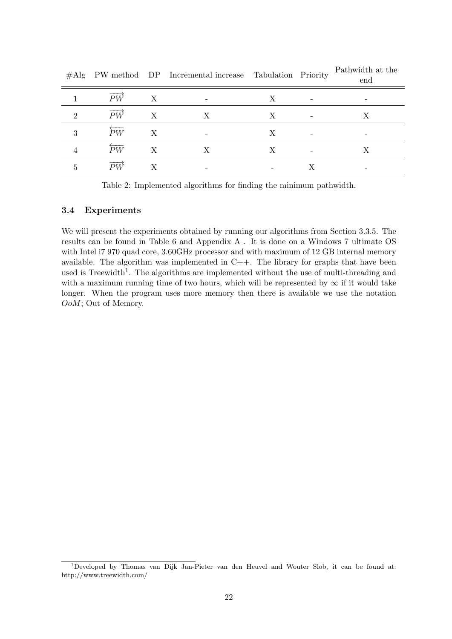|          |    |   | $\#$ Alg I W method DI Incremental increase Tabulation Thomag |  | end |
|----------|----|---|---------------------------------------------------------------|--|-----|
|          | PW | X |                                                               |  |     |
| $\Omega$ | РW |   |                                                               |  |     |
| ິ        | ÞW | Χ |                                                               |  |     |
|          | РW |   |                                                               |  |     |
|          | DИ |   |                                                               |  |     |

#Alg PW method DP Incremental increase Tabulation Priority Pathwidth at the end

Table 2: Implemented algorithms for finding the minimum pathwidth.

# 3.4 Experiments

We will present the experiments obtained by running our algorithms from Section 3.3.5. The results can be found in Table 6 and Appendix A . It is done on a Windows 7 ultimate OS with Intel i7 970 quad core, 3.60GHz processor and with maximum of 12 GB internal memory available. The algorithm was implemented in  $C++$ . The library for graphs that have been used is Treewidth<sup>1</sup>. The algorithms are implemented without the use of multi-threading and with a maximum running time of two hours, which will be represented by  $\infty$  if it would take longer. When the program uses more memory then there is available we use the notation OoM; Out of Memory.

<sup>1</sup>Developed by Thomas van Dijk Jan-Pieter van den Heuvel and Wouter Slob, it can be found at: http://www.treewidth.com/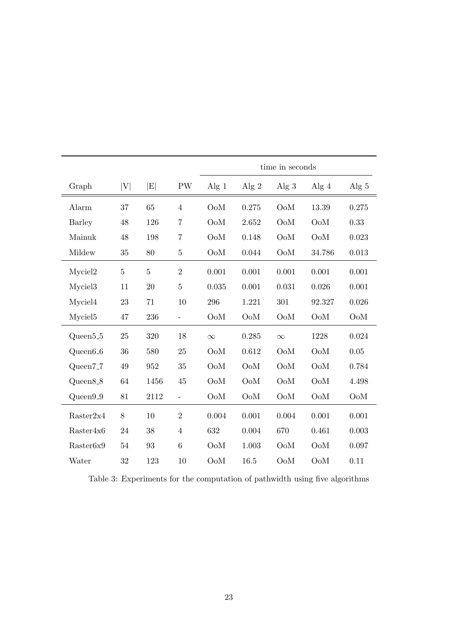|                       |                |                             |                          | time in seconds  |                  |                  |                  |         |
|-----------------------|----------------|-----------------------------|--------------------------|------------------|------------------|------------------|------------------|---------|
| Graph                 | V              | $\left  \mathrm{E} \right $ | PW                       | Alg $1$          | Alg $2$          | Alg $3$          | Alg $4$          | Alg $5$ |
| Alarm                 | 37             | 65                          | $\overline{4}$           | OoM              | 0.275            | OoM              | 13.39            | 0.275   |
| <b>Barley</b>         | 48             | 126                         | $\overline{7}$           | OoM              | 2.652            | OoM              | OoM              | 0.33    |
| Mainuk                | 48             | 198                         | $\overline{7}$           | OoM              | 0.148            | OoM              | OoM              | 0.023   |
| Mildew                | 35             | 80                          | 5                        | $Oo$ M           | 0.044            | $Oo$ M           | 34.786           | 0.013   |
| Myciel2               | $\overline{5}$ | $\bf 5$                     | $\overline{2}$           | 0.001            | 0.001            | 0.001            | 0.001            | 0.001   |
| Myciel <sub>3</sub>   | 11             | 20                          | $\overline{5}$           | 0.035            | 0.001            | 0.031            | 0.026            | 0.001   |
| Myciel4               | 23             | 71                          | 10                       | 296              | 1.221            | 301              | 92.327           | 0.026   |
| Myciel <sub>5</sub>   | $47\,$         | 236                         | $\overline{a}$           | OoM              | O <sub>o</sub> M | OoM              | OoM              | OoM     |
| Queen <sub>5.5</sub>  | 25             | 320                         | 18                       | $\infty$         | 0.285            | $\infty$         | 1228             | 0.024   |
| $Queen6_6$            | 36             | 580                         | 25                       | O <sub>o</sub> M | 0.612            | O <sub>o</sub> M | O <sub>o</sub> M | 0.05    |
| Queen7 <sub>-7</sub>  | 49             | 952                         | 35                       | O <sub>o</sub> M | OoM              | OoM              | OoM              | 0.784   |
| $Queen8_8$            | 64             | 1456                        | 45                       | OoM              | OoM              | OoM              | OoM              | 4.498   |
| Queen9_9              | 81             | 2112                        | $\overline{\phantom{0}}$ | OoM              | $Oo$ M           | $Oo$ M           | OoM              | OoM     |
| Raster2x4             | 8              | 10                          | $\overline{2}$           | 0.004            | 0.001            | 0.004            | 0.001            | 0.001   |
| Raster4x6             | 24             | 38                          | $\overline{4}$           | 632              | 0.004            | 670              | 0.461            | 0.003   |
| Raster <sub>6x9</sub> | 54             | 93                          | 6                        | $Oo$ M           | 1.003            | $Oo$ M           | OoM              | 0.097   |
| Water                 | 32             | 123                         | 10                       | OoM              | 16.5             | OoM              | OoM              | 0.11    |

Table 3: Experiments for the computation of pathwidth using five algorithms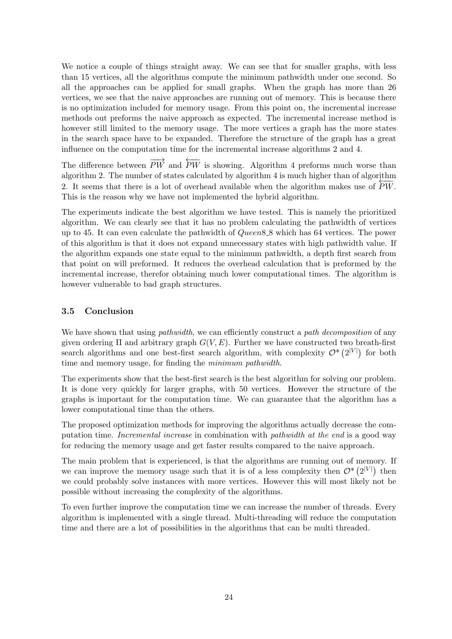We notice a couple of things straight away. We can see that for smaller graphs, with less than 15 vertices, all the algorithms compute the minimum pathwidth under one second. So all the approaches can be applied for small graphs. When the graph has more than 26 vertices, we see that the naive approaches are running out of memory. This is because there is no optimization included for memory usage. From this point on, the incremental increase methods out preforms the naive approach as expected. The incremental increase method is however still limited to the memory usage. The more vertices a graph has the more states in the search space have to be expanded. Therefore the structure of the graph has a great influence on the computation time for the incremental increase algorithms 2 and 4.

The difference between  $\overrightarrow{PW}$  and  $\overleftarrow{PW}$  is showing. Algorithm 4 preforms much worse than algorithm 2. The number of states calculated by algorithm 4 is much higher than of algorithm 2. It seems that there is a lot of overhead available when the algorithm makes use of  $\overline{PW}$ . This is the reason why we have not implemented the hybrid algorithm.

The experiments indicate the best algorithm we have tested. This is namely the prioritized algorithm. We can clearly see that it has no problem calculating the pathwidth of vertices up to 45. It can even calculate the pathwidth of  $Queen8.8$  which has 64 vertices. The power of this algorithm is that it does not expand unnecessary states with high pathwidth value. If the algorithm expands one state equal to the minimum pathwidth, a depth first search from that point on will preformed. It reduces the overhead calculation that is preformed by the incremental increase, therefor obtaining much lower computational times. The algorithm is however vulnerable to bad graph structures.

# 3.5 Conclusion

We have shown that using *pathwidth*, we can efficiently construct a *path decomposition* of any given ordering  $\Pi$  and arbitrary graph  $G(V, E)$ . Further we have constructed two breath-first search algorithms and one best-first search algorithm, with complexity  $\mathcal{O}^*(2^{|V|})$  for both time and memory usage, for finding the *minimum pathwidth*.

The experiments show that the best-first search is the best algorithm for solving our problem. It is done very quickly for larger graphs, with 50 vertices. However the structure of the graphs is important for the computation time. We can guarantee that the algorithm has a lower computational time than the others.

The proposed optimization methods for improving the algorithms actually decrease the computation time. Incremental increase in combination with pathwidth at the end is a good way for reducing the memory usage and get faster results compared to the naive approach.

The main problem that is experienced, is that the algorithms are running out of memory. If we can improve the memory usage such that it is of a less complexity then  $\mathcal{O}^*(2^{|V|})$  then we could probably solve instances with more vertices. However this will most likely not be possible without increasing the complexity of the algorithms.

To even further improve the computation time we can increase the number of threads. Every algorithm is implemented with a single thread. Multi-threading will reduce the computation time and there are a lot of possibilities in the algorithms that can be multi threaded.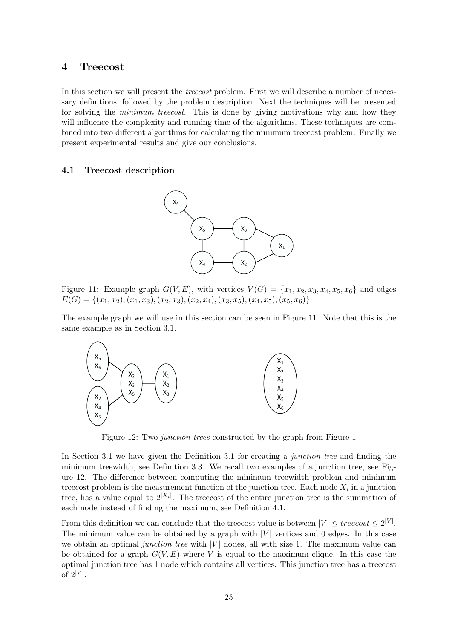# 4 Treecost

In this section we will present the *treecost* problem. First we will describe a number of necessary definitions, followed by the problem description. Next the techniques will be presented for solving the *minimum treecost*. This is done by giving motivations why and how they will influence the complexity and running time of the algorithms. These techniques are combined into two different algorithms for calculating the minimum treecost problem. Finally we present experimental results and give our conclusions.

# 4.1 Treecost description



Figure 11: Example graph  $G(V, E)$ , with vertices  $V(G) = \{x_1, x_2, x_3, x_4, x_5, x_6\}$  and edges  $E(G) = \{(x_1, x_2), (x_1, x_3), (x_2, x_3), (x_2, x_4), (x_3, x_5), (x_4, x_5), (x_5, x_6)\}$ 

The example graph we will use in this section can be seen in Figure 11. Note that this is the same example as in Section 3.1.



Figure 12: Two junction trees constructed by the graph from Figure 1

In Section 3.1 we have given the Definition 3.1 for creating a *junction tree* and finding the minimum treewidth, see Definition 3.3. We recall two examples of a junction tree, see Figure 12. The difference between computing the minimum treewidth problem and minimum treecost problem is the measurement function of the junction tree. Each node  $X_i$  in a junction tree, has a value equal to  $2^{|X_i|}$ . The treecost of the entire junction tree is the summation of each node instead of finding the maximum, see Definition 4.1.

From this definition we can conclude that the treecost value is between  $|V| \leq t$ reecost  $\leq 2^{|V|}$ . The minimum value can be obtained by a graph with  $|V|$  vertices and 0 edges. In this case we obtain an optimal junction tree with  $|V|$  nodes, all with size 1. The maximum value can be obtained for a graph  $G(V, E)$  where V is equal to the maximum clique. In this case the optimal junction tree has 1 node which contains all vertices. This junction tree has a treecost of  $2^{|V|}$ .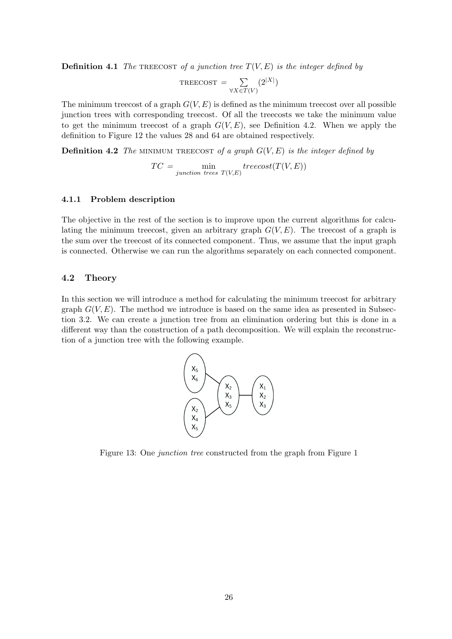**Definition 4.1** The TREECOST of a junction tree  $T(V, E)$  is the integer defined by

$$
TREECOST = \sum_{\forall X \in T(V)} (2^{|X|})
$$

The minimum treecost of a graph  $G(V, E)$  is defined as the minimum treecost over all possible junction trees with corresponding treecost. Of all the treecosts we take the minimum value to get the minimum treecost of a graph  $G(V, E)$ , see Definition 4.2. When we apply the definition to Figure 12 the values 28 and 64 are obtained respectively.

**Definition 4.2** The MINIMUM TREECOST of a graph  $G(V, E)$  is the integer defined by

$$
TC = \min_{junction\ trees}\ \min_{T(V,E)} \ treecost(T(V,E))
$$

#### 4.1.1 Problem description

The objective in the rest of the section is to improve upon the current algorithms for calculating the minimum treecost, given an arbitrary graph  $G(V, E)$ . The treecost of a graph is the sum over the treecost of its connected component. Thus, we assume that the input graph is connected. Otherwise we can run the algorithms separately on each connected component.

# 4.2 Theory

In this section we will introduce a method for calculating the minimum treecost for arbitrary graph  $G(V, E)$ . The method we introduce is based on the same idea as presented in Subsection 3.2. We can create a junction tree from an elimination ordering but this is done in a different way than the construction of a path decomposition. We will explain the reconstruction of a junction tree with the following example.



Figure 13: One junction tree constructed from the graph from Figure 1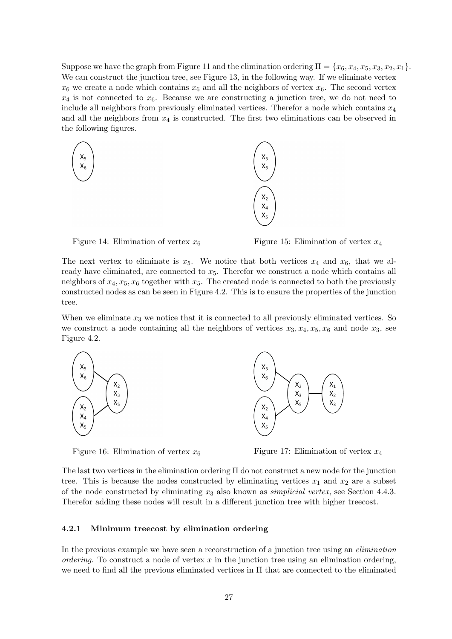Suppose we have the graph from Figure 11 and the elimination ordering  $\Pi = \{x_6, x_4, x_5, x_3, x_2, x_1\}.$ We can construct the junction tree, see Figure 13, in the following way. If we eliminate vertex  $x_6$  we create a node which contains  $x_6$  and all the neighbors of vertex  $x_6$ . The second vertex  $x_4$  is not connected to  $x_6$ . Because we are constructing a junction tree, we do not need to include all neighbors from previously eliminated vertices. Therefor a node which contains  $x_4$ and all the neighbors from  $x_4$  is constructed. The first two eliminations can be observed in the following figures.





The next vertex to eliminate is  $x_5$ . We notice that both vertices  $x_4$  and  $x_6$ , that we already have eliminated, are connected to  $x_5$ . Therefor we construct a node which contains all neighbors of  $x_4, x_5, x_6$  together with  $x_5$ . The created node is connected to both the previously constructed nodes as can be seen in Figure 4.2. This is to ensure the properties of the junction tree.

When we eliminate  $x_3$  we notice that it is connected to all previously eliminated vertices. So we construct a node containing all the neighbors of vertices  $x_3, x_4, x_5, x_6$  and node  $x_3$ , see Figure 4.2.





The last two vertices in the elimination ordering Π do not construct a new node for the junction tree. This is because the nodes constructed by eliminating vertices  $x_1$  and  $x_2$  are a subset of the node constructed by eliminating  $x_3$  also known as *simplicial vertex*, see Section 4.4.3. Therefor adding these nodes will result in a different junction tree with higher treecost.

#### 4.2.1 Minimum treecost by elimination ordering

In the previous example we have seen a reconstruction of a junction tree using an *elimination* ordering. To construct a node of vertex  $x$  in the junction tree using an elimination ordering, we need to find all the previous eliminated vertices in Π that are connected to the eliminated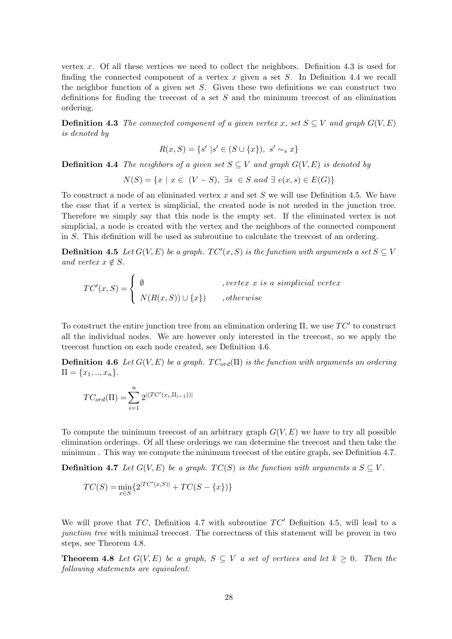vertex x. Of all these vertices we need to collect the neighbors. Definition 4.3 is used for finding the connected component of a vertex  $x$  given a set  $S$ . In Definition 4.4 we recall the neighbor function of a given set S. Given these two definitions we can construct two definitions for finding the treecost of a set S and the minimum treecost of an elimination ordering.

**Definition 4.3** The connected component of a given vertex x, set  $S \subseteq V$  and graph  $G(V, E)$ is denoted by

$$
R(x, S) = \{ s' \mid s' \in (S \cup \{x\}), \ s' \sim_s x \}
$$

**Definition 4.4** The neighbors of a given set  $S \subseteq V$  and graph  $G(V, E)$  is denoted by

$$
N(S) = \{x \mid x \in (V - S), \exists s \in S \text{ and } \exists e(x, s) \in E(G)\}\
$$

To construct a node of an eliminated vertex x and set  $S$  we will use Definition 4.5. We have the case that if a vertex is simplicial, the created node is not needed in the junction tree. Therefore we simply say that this node is the empty set. If the eliminated vertex is not simplicial, a node is created with the vertex and the neighbors of the connected component in S. This definition will be used as subroutine to calculate the treecost of an ordering.

**Definition 4.5** Let  $G(V, E)$  be a graph.  $TC'(x, S)$  is the function with arguments a set  $S \subseteq V$ and vertex  $x \notin S$ .

$$
TC'(x, S) = \begin{cases} \emptyset & , vertex \ x \ is \ a \ simplicial \ vertex \\ N(R(x, S)) \cup \{x\} & , otherwise \end{cases}
$$

To construct the entire junction tree from an elimination ordering  $\Pi$ , we use  $TC'$  to construct all the individual nodes. We are however only interested in the treecost, so we apply the treecost function on each node created, see Definition 4.6.

**Definition 4.6** Let  $G(V, E)$  be a graph.  $TC_{ord}(\Pi)$  is the function with arguments an ordering  $\Pi = \{x_1, ..., x_n\}.$ 

$$
TC_{ord}(\Pi) = \sum_{i=1}^{n} 2^{|(TC'(x_i,\Pi_{i-1}))|}
$$

To compute the minimum treecost of an arbitrary graph  $G(V, E)$  we have to try all possible elimination orderings. Of all these orderings we can determine the treecost and then take the minimum . This way we compute the minimum treecost of the entire graph, see Definition 4.7.

**Definition 4.7** Let  $G(V, E)$  be a graph.  $TC(S)$  is the function with arguments a  $S \subseteq V$ .

$$
TC(S) = \min_{x \in S} \{ 2^{|TC'(x,S)|} + TC(S - \{x\}) \}
$$

We will prove that  $TC$ , Definition 4.7 with subroutine  $TC'$  Definition 4.5, will lead to a junction tree with minimal treecost. The correctness of this statement will be proven in two steps, see Theorem 4.8.

**Theorem 4.8** Let  $G(V, E)$  be a graph,  $S \subseteq V$  a set of vertices and let  $k \geq 0$ . Then the following statements are equivalent: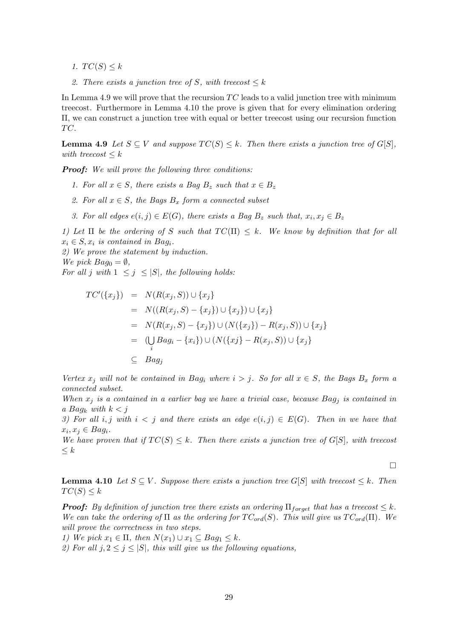- 1.  $TC(S) \leq k$
- 2. There exists a junction tree of S, with treecost  $\leq k$

In Lemma 4.9 we will prove that the recursion  $TC$  leads to a valid junction tree with minimum treecost. Furthermore in Lemma 4.10 the prove is given that for every elimination ordering Π, we can construct a junction tree with equal or better treecost using our recursion function TC.

**Lemma 4.9** Let  $S \subseteq V$  and suppose  $TC(S) \leq k$ . Then there exists a junction tree of  $G[S]$ , with treecost  $\leq k$ 

**Proof:** We will prove the following three conditions:

- 1. For all  $x \in S$ , there exists a Bag  $B_z$  such that  $x \in B_z$
- 2. For all  $x \in S$ , the Bags  $B_x$  form a connected subset
- 3. For all edges  $e(i, j) \in E(G)$ , there exists a Bag  $B_z$  such that,  $x_i, x_j \in B_z$

1) Let  $\Pi$  be the ordering of S such that  $TC(\Pi) \leq k$ . We know by definition that for all  $x_i \in S$ ,  $x_i$  is contained in Bag<sub>i</sub>.

2) We prove the statement by induction.

We pick  $Bag_0 = \emptyset$ ,

For all j with  $1 \leq j \leq |S|$ , the following holds:

$$
TC'(\{x_j\}) = N(R(x_j, S)) \cup \{x_j\}
$$
  
=  $N((R(x_j, S) - \{x_j\}) \cup \{x_j\}) \cup \{x_j\}$   
=  $N(R(x_j, S) - \{x_j\}) \cup (N(\{x_j\}) - R(x_j, S)) \cup \{x_j\}$   
=  $(\bigcup_i Bag_i - \{x_i\}) \cup (N(\{x_j\} - R(x_j, S)) \cup \{x_j\})$   
 $\subseteq Bag_j$ 

Vertex  $x_i$  will not be contained in Bag<sub>i</sub> where  $i > j$ . So for all  $x \in S$ , the Bags  $B_x$  form a connected subset.

When  $x_j$  is a contained in a earlier bag we have a trivial case, because  $Bag_j$  is contained in a Bag<sub>k</sub> with  $k < j$ 

3) For all i, j with  $i < j$  and there exists an edge  $e(i, j) \in E(G)$ . Then in we have that  $x_i, x_j \in Bag_i.$ 

We have proven that if  $TC(S) \leq k$ . Then there exists a junction tree of  $G[S]$ , with treecost  $\leq k$ 

 $\Box$ 

**Lemma 4.10** Let  $S \subseteq V$ . Suppose there exists a junction tree G[S] with treecost  $\leq k$ . Then  $TC(S) \leq k$ 

**Proof:** By definition of junction tree there exists an ordering  $\Pi_{forced}$  that has a treecost  $\leq k$ . We can take the ordering of  $\Pi$  as the ordering for  $TC_{ord}(S)$ . This will give us  $TC_{ord}(\Pi)$ . We will prove the correctness in two steps.

1) We pick  $x_1 \in \Pi$ , then  $N(x_1) \cup x_1 \subseteq Bag_1 \leq k$ .

2) For all  $j, 2 \leq j \leq |S|$ , this will give us the following equations,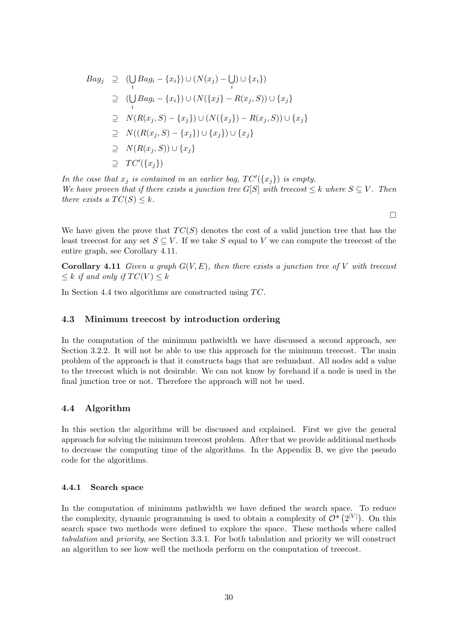$$
Bag_j \supseteq (\bigcup_i Bag_i - \{x_i\}) \cup (N(x_j) - \bigcup_i) \cup \{x_i\})
$$
  
\n
$$
\supseteq (\bigcup_i Bag_i - \{x_i\}) \cup (N(\{x_j\} - R(x_j, S)) \cup \{x_j\})
$$
  
\n
$$
\supseteq N(R(x_j, S) - \{x_j\}) \cup (N(\{x_j\}) - R(x_j, S)) \cup \{x_j\}
$$
  
\n
$$
\supseteq N((R(x_j, S) - \{x_j\}) \cup \{x_j\}) \cup \{x_j\}
$$
  
\n
$$
\supseteq N(R(x_j, S)) \cup \{x_j\}
$$
  
\n
$$
\supseteq TC'(\{x_j\})
$$

In the case that  $x_j$  is contained in an earlier bag,  $TC'(\lbrace x_j \rbrace)$  is empty. We have proven that if there exists a junction tree G[S] with treecost  $\leq k$  where  $S \subseteq V$ . Then there exists a  $TC(S) \leq k$ .

 $\Box$ 

We have given the prove that  $TC(S)$  denotes the cost of a valid junction tree that has the least treecost for any set  $S \subseteq V$ . If we take S equal to V we can compute the treecost of the entire graph, see Corollary 4.11.

Corollary 4.11 Given a graph  $G(V, E)$ , then there exists a junction tree of V with treecost  $\leq k$  if and only if  $TC(V) \leq k$ 

In Section 4.4 two algorithms are constructed using  $TC$ .

#### 4.3 Minimum treecost by introduction ordering

In the computation of the minimum pathwidth we have discussed a second approach, see Section 3.2.2. It will not be able to use this approach for the minimum treecost. The main problem of the approach is that it constructs bags that are redundant. All nodes add a value to the treecost which is not desirable. We can not know by forehand if a node is used in the final junction tree or not. Therefore the approach will not be used.

# 4.4 Algorithm

In this section the algorithms will be discussed and explained. First we give the general approach for solving the minimum treecost problem. After that we provide additional methods to decrease the computing time of the algorithms. In the Appendix B, we give the pseudo code for the algorithms.

#### 4.4.1 Search space

In the computation of minimum pathwidth we have defined the search space. To reduce the complexity, dynamic programming is used to obtain a complexity of  $\mathcal{O}^*(2^{|V|})$ . On this search space two methods were defined to explore the space. These methods where called tabulation and priority, see Section 3.3.1. For both tabulation and priority we will construct an algorithm to see how well the methods perform on the computation of treecost.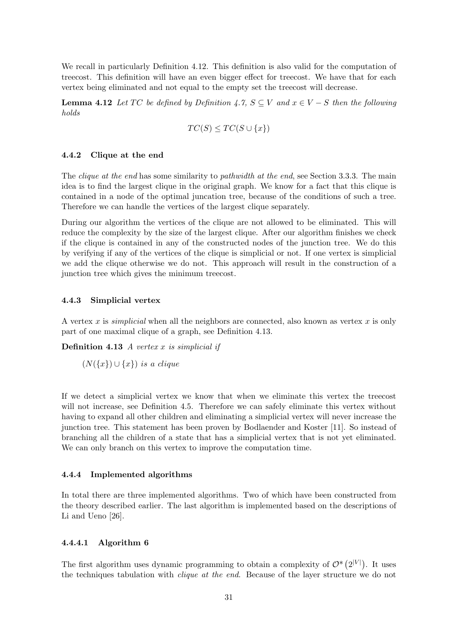We recall in particularly Definition 4.12. This definition is also valid for the computation of treecost. This definition will have an even bigger effect for treecost. We have that for each vertex being eliminated and not equal to the empty set the treecost will decrease.

**Lemma 4.12** Let TC be defined by Definition 4.7,  $S \subseteq V$  and  $x \in V - S$  then the following holds

$$
TC(S) \leq TC(S \cup \{x\})
$$

# 4.4.2 Clique at the end

The *clique at the end* has some similarity to *pathwidth at the end*, see Section 3.3.3. The main idea is to find the largest clique in the original graph. We know for a fact that this clique is contained in a node of the optimal juncation tree, because of the conditions of such a tree. Therefore we can handle the vertices of the largest clique separately.

During our algorithm the vertices of the clique are not allowed to be eliminated. This will reduce the complexity by the size of the largest clique. After our algorithm finishes we check if the clique is contained in any of the constructed nodes of the junction tree. We do this by verifying if any of the vertices of the clique is simplicial or not. If one vertex is simplicial we add the clique otherwise we do not. This approach will result in the construction of a junction tree which gives the minimum treecost.

#### 4.4.3 Simplicial vertex

A vertex x is *simplicial* when all the neighbors are connected, also known as vertex x is only part of one maximal clique of a graph, see Definition 4.13.

**Definition 4.13** A vertex x is simplicial if

 $(N({x}) \cup {x})$  is a clique

If we detect a simplicial vertex we know that when we eliminate this vertex the treecost will not increase, see Definition 4.5. Therefore we can safely eliminate this vertex without having to expand all other children and eliminating a simplicial vertex will never increase the junction tree. This statement has been proven by Bodlaender and Koster [11]. So instead of branching all the children of a state that has a simplicial vertex that is not yet eliminated. We can only branch on this vertex to improve the computation time.

#### 4.4.4 Implemented algorithms

In total there are three implemented algorithms. Two of which have been constructed from the theory described earlier. The last algorithm is implemented based on the descriptions of Li and Ueno [26].

## 4.4.4.1 Algorithm 6

The first algorithm uses dynamic programming to obtain a complexity of  $\mathcal{O}^*\left(2^{|V|}\right)$ . It uses the techniques tabulation with *clique at the end*. Because of the layer structure we do not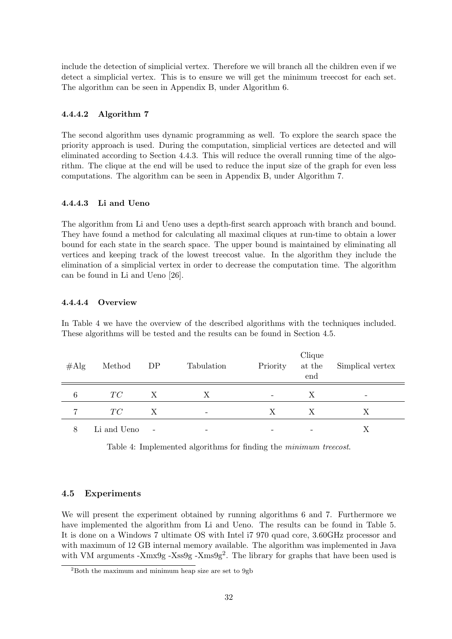include the detection of simplicial vertex. Therefore we will branch all the children even if we detect a simplicial vertex. This is to ensure we will get the minimum treecost for each set. The algorithm can be seen in Appendix B, under Algorithm 6.

# 4.4.4.2 Algorithm 7

The second algorithm uses dynamic programming as well. To explore the search space the priority approach is used. During the computation, simplicial vertices are detected and will eliminated according to Section 4.4.3. This will reduce the overall running time of the algorithm. The clique at the end will be used to reduce the input size of the graph for even less computations. The algorithm can be seen in Appendix B, under Algorithm 7.

# 4.4.4.3 Li and Ueno

The algorithm from Li and Ueno uses a depth-first search approach with branch and bound. They have found a method for calculating all maximal cliques at run-time to obtain a lower bound for each state in the search space. The upper bound is maintained by eliminating all vertices and keeping track of the lowest treecost value. In the algorithm they include the elimination of a simplicial vertex in order to decrease the computation time. The algorithm can be found in Li and Ueno [26].

# 4.4.4.4 Overview

In Table 4 we have the overview of the described algorithms with the techniques included. These algorithms will be tested and the results can be found in Section 4.5.

| $\#\mathrm{Alg}$ | Method      | DP                       | Tabulation               | Priority                 | Clique<br>at the $\,$<br>end | Simplical vertex |
|------------------|-------------|--------------------------|--------------------------|--------------------------|------------------------------|------------------|
| 6                | TC          | X                        | Х                        | $\overline{\phantom{0}}$ | $\boldsymbol{X}$             | -                |
|                  | TC          | X                        | $\overline{\phantom{a}}$ | X                        | X                            | X                |
| 8                | Li and Ueno | $\overline{\phantom{a}}$ |                          |                          | $\overline{\phantom{0}}$     |                  |

Table 4: Implemented algorithms for finding the *minimum treecost*.

# 4.5 Experiments

We will present the experiment obtained by running algorithms 6 and 7. Furthermore we have implemented the algorithm from Li and Ueno. The results can be found in Table 5. It is done on a Windows 7 ultimate OS with Intel i7 970 quad core, 3.60GHz processor and with maximum of 12 GB internal memory available. The algorithm was implemented in Java with VM arguments -Xmx9g -Xss9g -Xms9g<sup>2</sup>. The library for graphs that have been used is

 $2$ Both the maximum and minimum heap size are set to 9gb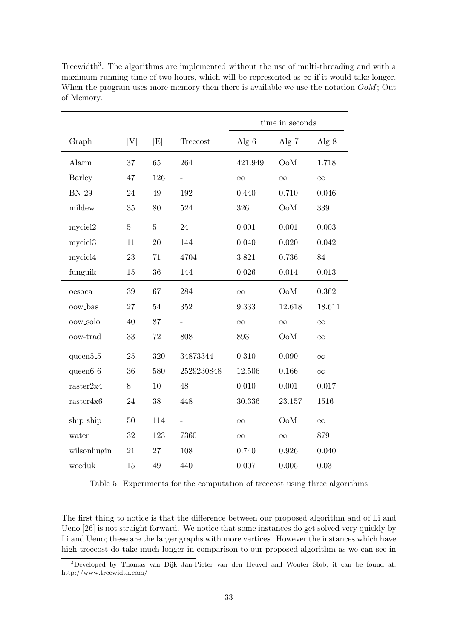|                       |         |                |            | time in seconds |          |          |  |
|-----------------------|---------|----------------|------------|-----------------|----------|----------|--|
| Graph                 | V       | E              | Treecost   | Alg $6$         | Alg $7$  | Alg $8$  |  |
| Alarm                 | 37      | 65             | 264        | 421.949         | OoM      | 1.718    |  |
| <b>Barley</b>         | 47      | 126            |            | $\infty$        | $\infty$ | $\infty$ |  |
| <b>BN_29</b>          | 24      | 49             | 192        | 0.440           | 0.710    | 0.046    |  |
| mildew                | 35      | 80             | 524        | 326             | OoM      | 339      |  |
| myciel2               | $\bf 5$ | $\overline{5}$ | 24         | 0.001           | 0.001    | 0.003    |  |
| myciel <sub>3</sub>   | 11      | 20             | 144        | 0.040           | 0.020    | 0.042    |  |
| myciel4               | 23      | 71             | 4704       | 3.821           | 0.736    | 84       |  |
| funguik               | 15      | $36\,$         | 144        | 0.026           | 0.014    | 0.013    |  |
| oesoca                | 39      | 67             | 284        | $\infty$        | OoM      | 0.362    |  |
| oow_bas               | 27      | $54\,$         | 352        | 9.333           | 12.618   | 18.611   |  |
| oow_solo              | 40      | 87             |            | $\infty$        | $\infty$ | $\infty$ |  |
| oow-trad              | 33      | 72             | 808        | 893             | OoM      | $\infty$ |  |
| queen <sup>5</sup> -5 | 25      | 320            | 34873344   | 0.310           | 0.090    | $\infty$ |  |
| queen6_6              | 36      | 580            | 2529230848 | 12.506          | 0.166    | $\infty$ |  |
| raster2x4             | 8       | 10             | 48         | 0.010           | 0.001    | 0.017    |  |
| $\text{raster4x6}$    | 24      | $38\,$         | 448        | 30.336          | 23.157   | 1516     |  |
| ship_ship             | 50      | 114            |            | $\infty$        | OoM      | $\infty$ |  |
| water                 | 32      | 123            | 7360       | $\infty$        | $\infty$ | 879      |  |
| wilsonhugin           | 21      | 27             | 108        | 0.740           | 0.926    | 0.040    |  |
| weeduk                | 15      | 49             | 440        | 0.007           | 0.005    | 0.031    |  |

Treewidth<sup>3</sup>. The algorithms are implemented without the use of multi-threading and with a maximum running time of two hours, which will be represented as  $\infty$  if it would take longer. When the program uses more memory then there is available we use the notation  $OoM$ ; Out of Memory.

Table 5: Experiments for the computation of treecost using three algorithms

The first thing to notice is that the difference between our proposed algorithm and of Li and Ueno [26] is not straight forward. We notice that some instances do get solved very quickly by Li and Ueno; these are the larger graphs with more vertices. However the instances which have high treecost do take much longer in comparison to our proposed algorithm as we can see in

<sup>3</sup>Developed by Thomas van Dijk Jan-Pieter van den Heuvel and Wouter Slob, it can be found at: http://www.treewidth.com/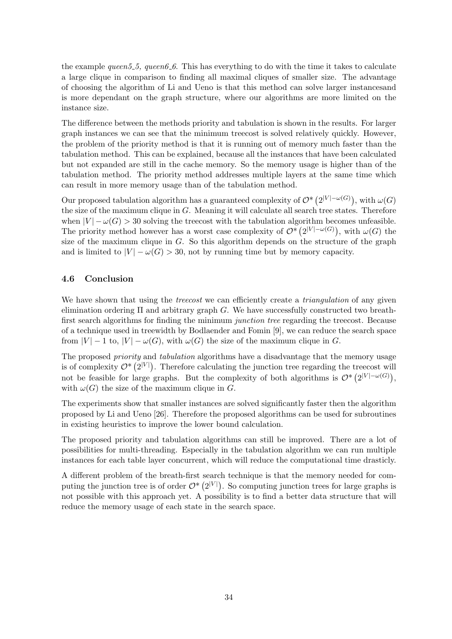the example queen 5.5, queen 6.6. This has everything to do with the time it takes to calculate a large clique in comparison to finding all maximal cliques of smaller size. The advantage of choosing the algorithm of Li and Ueno is that this method can solve larger instancesand is more dependant on the graph structure, where our algorithms are more limited on the instance size.

The difference between the methods priority and tabulation is shown in the results. For larger graph instances we can see that the minimum treecost is solved relatively quickly. However, the problem of the priority method is that it is running out of memory much faster than the tabulation method. This can be explained, because all the instances that have been calculated but not expanded are still in the cache memory. So the memory usage is higher than of the tabulation method. The priority method addresses multiple layers at the same time which can result in more memory usage than of the tabulation method.

Our proposed tabulation algorithm has a guaranteed complexity of  $\mathcal{O}^*\left(2^{|V|-\omega(G)}\right)$ , with  $\omega(G)$ the size of the maximum clique in G. Meaning it will calculate all search tree states. Therefore when  $|V| - \omega(G) > 30$  solving the treecost with the tabulation algorithm becomes unfeasible. The priority method however has a worst case complexity of  $\mathcal{O}^*\left(2^{|V|-\omega(G)}\right)$ , with  $\omega(G)$  the size of the maximum clique in  $G$ . So this algorithm depends on the structure of the graph and is limited to  $|V| - \omega(G) > 30$ , not by running time but by memory capacity.

# 4.6 Conclusion

We have shown that using the *treecost* we can efficiently create a *triangulation* of any given elimination ordering  $\Pi$  and arbitrary graph G. We have successfully constructed two breathfirst search algorithms for finding the minimum junction tree regarding the treecost. Because of a technique used in treewidth by Bodlaender and Fomin [9], we can reduce the search space from  $|V| - 1$  to,  $|V| - \omega(G)$ , with  $\omega(G)$  the size of the maximum clique in G.

The proposed *priority* and *tabulation* algorithms have a disadvantage that the memory usage is of complexity  $\mathcal{O}^*(2^{|V|})$ . Therefore calculating the junction tree regarding the treecost will not be feasible for large graphs. But the complexity of both algorithms is  $\mathcal{O}^*\left(2^{|V|-\omega(G)}\right)$ , with  $\omega(G)$  the size of the maximum clique in G.

The experiments show that smaller instances are solved significantly faster then the algorithm proposed by Li and Ueno [26]. Therefore the proposed algorithms can be used for subroutines in existing heuristics to improve the lower bound calculation.

The proposed priority and tabulation algorithms can still be improved. There are a lot of possibilities for multi-threading. Especially in the tabulation algorithm we can run multiple instances for each table layer concurrent, which will reduce the computational time drasticly.

A different problem of the breath-first search technique is that the memory needed for computing the junction tree is of order  $\mathcal{O}^*(2^{|V|})$ . So computing junction trees for large graphs is not possible with this approach yet. A possibility is to find a better data structure that will reduce the memory usage of each state in the search space.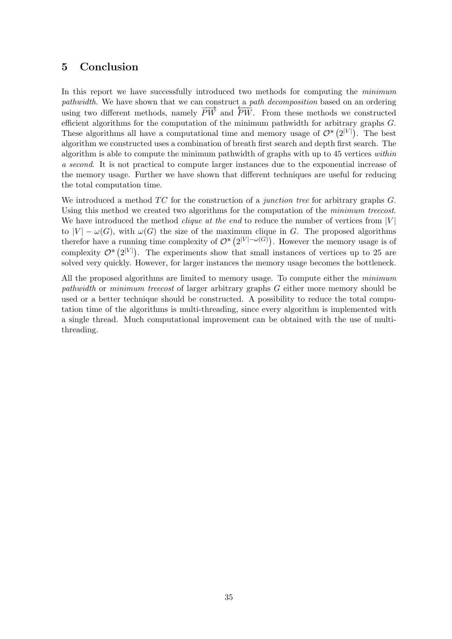# 5 Conclusion

In this report we have successfully introduced two methods for computing the *minimum* pathwidth. We have shown that we can construct a path decomposition based on an ordering paintenant. We have shown that we can constructed  $\frac{\mu}{PW}$  paint accomposition sased on an ordering using two different methods, namely  $\overline{PW}$  and  $\overline{PW}$ . From these methods we constructed efficient algorithms for the computation of the minimum pathwidth for arbitrary graphs  $G$ . These algorithms all have a computational time and memory usage of  $\mathcal{O}^*(2^{|V|})$ . The best algorithm we constructed uses a combination of breath first search and depth first search. The algorithm is able to compute the minimum pathwidth of graphs with up to 45 vertices within a second. It is not practical to compute larger instances due to the exponential increase of the memory usage. Further we have shown that different techniques are useful for reducing the total computation time.

We introduced a method  $TC$  for the construction of a *junction tree* for arbitrary graphs  $G$ . Using this method we created two algorithms for the computation of the *minimum treecost*. We have introduced the method *clique at the end* to reduce the number of vertices from  $|V|$ to  $|V| - \omega(G)$ , with  $\omega(G)$  the size of the maximum clique in G. The proposed algorithms therefor have a running time complexity of  $\mathcal{O}^*(2^{|V|-\omega(G)})$ . However the memory usage is of complexity  $\mathcal{O}^*(2^{|V|})$ . The experiments show that small instances of vertices up to 25 are solved very quickly. However, for larger instances the memory usage becomes the bottleneck.

All the proposed algorithms are limited to memory usage. To compute either the *minimum* pathwidth or minimum treecost of larger arbitrary graphs G either more memory should be used or a better technique should be constructed. A possibility to reduce the total computation time of the algorithms is multi-threading, since every algorithm is implemented with a single thread. Much computational improvement can be obtained with the use of multithreading.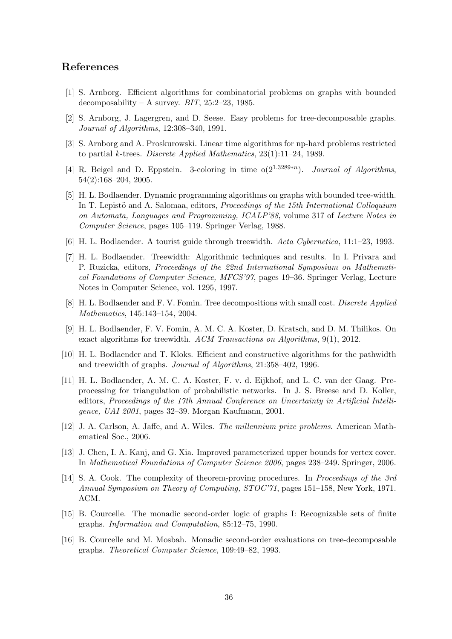# References

- [1] S. Arnborg. Efficient algorithms for combinatorial problems on graphs with bounded decomposability – A survey.  $BIT$ , 25:2–23, 1985.
- [2] S. Arnborg, J. Lagergren, and D. Seese. Easy problems for tree-decomposable graphs. Journal of Algorithms, 12:308–340, 1991.
- [3] S. Arnborg and A. Proskurowski. Linear time algorithms for np-hard problems restricted to partial k-trees. Discrete Applied Mathematics, 23(1):11–24, 1989.
- [4] R. Beigel and D. Eppstein. 3-coloring in time  $o(2^{1.3289*n})$ . Journal of Algorithms, 54(2):168–204, 2005.
- [5] H. L. Bodlaender. Dynamic programming algorithms on graphs with bounded tree-width. In T. Lepistö and A. Salomaa, editors, *Proceedings of the 15th International Colloquium* on Automata, Languages and Programming, ICALP'88, volume 317 of Lecture Notes in Computer Science, pages 105–119. Springer Verlag, 1988.
- [6] H. L. Bodlaender. A tourist guide through treewidth. Acta Cybernetica, 11:1–23, 1993.
- [7] H. L. Bodlaender. Treewidth: Algorithmic techniques and results. In I. Privara and P. Ruzicka, editors, Proceedings of the 22nd International Symposium on Mathematical Foundations of Computer Science, MFCS'97, pages 19–36. Springer Verlag, Lecture Notes in Computer Science, vol. 1295, 1997.
- [8] H. L. Bodlaender and F. V. Fomin. Tree decompositions with small cost. Discrete Applied Mathematics, 145:143–154, 2004.
- [9] H. L. Bodlaender, F. V. Fomin, A. M. C. A. Koster, D. Kratsch, and D. M. Thilikos. On exact algorithms for treewidth. ACM Transactions on Algorithms, 9(1), 2012.
- [10] H. L. Bodlaender and T. Kloks. Efficient and constructive algorithms for the pathwidth and treewidth of graphs. Journal of Algorithms, 21:358–402, 1996.
- [11] H. L. Bodlaender, A. M. C. A. Koster, F. v. d. Eijkhof, and L. C. van der Gaag. Preprocessing for triangulation of probabilistic networks. In J. S. Breese and D. Koller, editors, Proceedings of the 17th Annual Conference on Uncertainty in Artificial Intelligence, UAI 2001, pages 32–39. Morgan Kaufmann, 2001.
- [12] J. A. Carlson, A. Jaffe, and A. Wiles. The millennium prize problems. American Mathematical Soc., 2006.
- [13] J. Chen, I. A. Kanj, and G. Xia. Improved parameterized upper bounds for vertex cover. In Mathematical Foundations of Computer Science 2006, pages 238–249. Springer, 2006.
- [14] S. A. Cook. The complexity of theorem-proving procedures. In Proceedings of the 3rd Annual Symposium on Theory of Computing, STOC'71, pages 151–158, New York, 1971. ACM.
- [15] B. Courcelle. The monadic second-order logic of graphs I: Recognizable sets of finite graphs. Information and Computation, 85:12–75, 1990.
- [16] B. Courcelle and M. Mosbah. Monadic second-order evaluations on tree-decomposable graphs. Theoretical Computer Science, 109:49–82, 1993.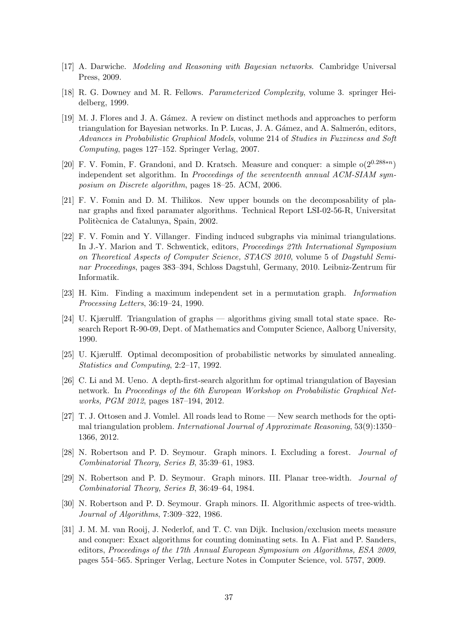- [17] A. Darwiche. Modeling and Reasoning with Bayesian networks. Cambridge Universal Press, 2009.
- [18] R. G. Downey and M. R. Fellows. Parameterized Complexity, volume 3. springer Heidelberg, 1999.
- [19] M. J. Flores and J. A. Gámez. A review on distinct methods and approaches to perform triangulation for Bayesian networks. In P. Lucas, J. A. Gámez, and A. Salmerón, editors, Advances in Probabilistic Graphical Models, volume 214 of Studies in Fuzziness and Soft Computing, pages 127–152. Springer Verlag, 2007.
- [20] F. V. Fomin, F. Grandoni, and D. Kratsch. Measure and conquer: a simple  $o(2^{0.288*n})$ independent set algorithm. In Proceedings of the seventeenth annual ACM-SIAM symposium on Discrete algorithm, pages 18–25. ACM, 2006.
- [21] F. V. Fomin and D. M. Thilikos. New upper bounds on the decomposability of planar graphs and fixed paramater algorithms. Technical Report LSI-02-56-R, Universitat Politècnica de Catalunya, Spain, 2002.
- [22] F. V. Fomin and Y. Villanger. Finding induced subgraphs via minimal triangulations. In J.-Y. Marion and T. Schwentick, editors, Proceedings 27th International Symposium on Theoretical Aspects of Computer Science, STACS 2010, volume 5 of Dagstuhl Seminar Proceedings, pages 383–394, Schloss Dagstuhl, Germany, 2010. Leibniz-Zentrum für Informatik.
- [23] H. Kim. Finding a maximum independent set in a permutation graph. Information Processing Letters, 36:19–24, 1990.
- [24] U. Kjærulff. Triangulation of graphs algorithms giving small total state space. Research Report R-90-09, Dept. of Mathematics and Computer Science, Aalborg University, 1990.
- [25] U. Kjærulff. Optimal decomposition of probabilistic networks by simulated annealing. Statistics and Computing, 2:2–17, 1992.
- [26] C. Li and M. Ueno. A depth-first-search algorithm for optimal triangulation of Bayesian network. In Proceedings of the 6th European Workshop on Probabilistic Graphical Networks, PGM 2012, pages 187–194, 2012.
- [27] T. J. Ottosen and J. Vomlel. All roads lead to Rome New search methods for the optimal triangulation problem. International Journal of Approximate Reasoning, 53(9):1350– 1366, 2012.
- [28] N. Robertson and P. D. Seymour. Graph minors. I. Excluding a forest. Journal of Combinatorial Theory, Series B, 35:39–61, 1983.
- [29] N. Robertson and P. D. Seymour. Graph minors. III. Planar tree-width. Journal of Combinatorial Theory, Series B, 36:49–64, 1984.
- [30] N. Robertson and P. D. Seymour. Graph minors. II. Algorithmic aspects of tree-width. Journal of Algorithms, 7:309–322, 1986.
- [31] J. M. M. van Rooij, J. Nederlof, and T. C. van Dijk. Inclusion/exclusion meets measure and conquer: Exact algorithms for counting dominating sets. In A. Fiat and P. Sanders, editors, Proceedings of the 17th Annual European Symposium on Algorithms, ESA 2009, pages 554–565. Springer Verlag, Lecture Notes in Computer Science, vol. 5757, 2009.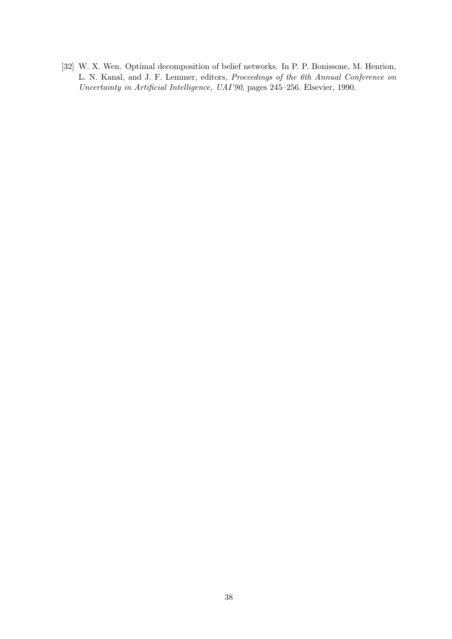[32] W. X. Wen. Optimal decomposition of belief networks. In P. P. Bonissone, M. Henrion, L. N. Kanal, and J. F. Lemmer, editors, Proceedings of the 6th Annual Conference on Uncertainty in Artificial Intelligence, UAI'90, pages 245–256. Elsevier, 1990.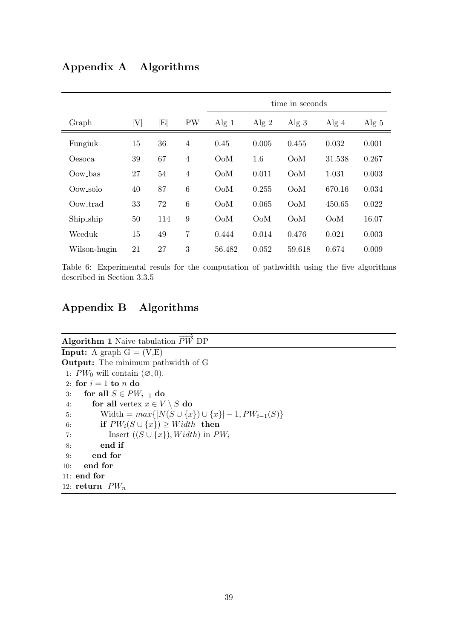| Appendix A | Algorithms |
|------------|------------|
|------------|------------|

|              |    |          |                | time in seconds |                  |                  |                  |         |
|--------------|----|----------|----------------|-----------------|------------------|------------------|------------------|---------|
| Graph        | V  | $E\vert$ | <b>PW</b>      | Alg $1$         | Alg $2$          | Alg $3$          | Alg $4$          | Alg $5$ |
| Fungiuk      | 15 | 36       | $\overline{4}$ | 0.45            | 0.005            | 0.455            | 0.032            | 0.001   |
| Oesoca       | 39 | 67       | 4              | OoM             | 1.6              | O <sub>o</sub> M | 31.538           | 0.267   |
| Oow_bas      | 27 | 54       | $\overline{4}$ | $Oo$ M          | 0.011            | O <sub>o</sub> M | 1.031            | 0.003   |
| Oow_solo     | 40 | 87       | 6              | OoM             | 0.255            | O <sub>o</sub> M | 670.16           | 0.034   |
| Oow_trad     | 33 | 72       | 6              | $Oo$ M          | 0.065            | O <sub>o</sub> M | 450.65           | 0.022   |
| Ship_ship    | 50 | 114      | 9              | $Oo$ M          | O <sub>o</sub> M | O <sub>o</sub> M | O <sub>o</sub> M | 16.07   |
| Weeduk       | 15 | 49       | $\overline{7}$ | 0.444           | 0.014            | 0.476            | 0.021            | 0.003   |
| Wilson-hugin | 21 | 27       | 3              | 56.482          | 0.052            | 59.618           | 0.674            | 0.009   |

Table 6: Experimental resuls for the computation of pathwidth using the five algorithms described in Section 3.3.5

# Appendix B Algorithms

| <b>Algorithm 1</b> Naive tabulation $PW$ DP                                  |
|------------------------------------------------------------------------------|
| <b>Input:</b> A graph $G = (V,E)$                                            |
| <b>Output:</b> The minimum pathwidth of G                                    |
| 1: $PW_0$ will contain $(\emptyset, 0)$ .                                    |
| 2: for $i=1$ to n do                                                         |
| for all $S \in PW_{i-1}$ do<br>3:                                            |
| for all vertex $x \in V \setminus S$ do<br>4:                                |
| $\text{Width} = max\{ N(S \cup \{x\}) \cup \{x\}  - 1, PW_{i-1}(S)\}\$<br>5: |
| if $PW_i(S \cup \{x\}) \geq Width$ then<br>6:                                |
| Insert $((S \cup \{x\}), Width)$ in $PW_i$<br>7:                             |
| end if<br>8:                                                                 |
| end for<br>9:                                                                |
| end for<br>10:                                                               |
| 11: end for                                                                  |
| 12: return $PW_n$                                                            |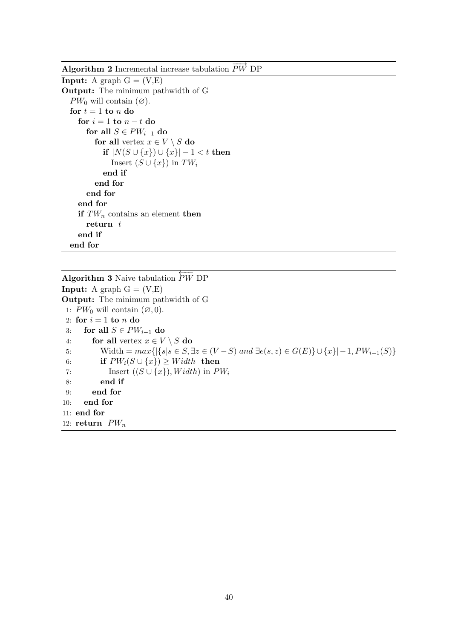Algorithm 2 Incremental increase tabulation  $\overrightarrow{PW}$  DP

```
Input: A graph G = (V,E)Output: The minimum pathwidth of G
  PW_0 will contain (\emptyset).
  for t = 1 to n do
    for i = 1 to n - t do
       for all S \in PW_{i-1} do
         for all vertex x \in V \setminus S do
           if |N(S \cup \{x\}) \cup \{x\}| - 1 < t then
              Insert (S \cup \{x\}) in TW_iend if
         end for
      end for
    end for
    if TW_n contains an element then
      return tend if
  end for
```
Algorithm 3 Naive tabulation  $\overleftarrow{PW}$  DP **Input:** A graph  $G = (V, E)$ Output: The minimum pathwidth of G 1:  $PW_0$  will contain  $(\emptyset, 0)$ . 2: for  $i = 1$  to n do 3: for all  $S \in PW_{i-1}$  do 4: for all vertex  $x \in V \setminus S$  do 5: Width =  $max\{|\{s|s \in S, \exists z \in (V-S) \text{ and } \exists e(s,z) \in G(E)\} \cup \{x\}|-1, PW_{i-1}(S)\}$ 6: if  $PW_i(S \cup \{x\}) \geq Width$  then 7: Insert  $((S \cup \{x\}), Width)$  in  $PW_i$ 8: end if 9: end for 10: end for 11: end for 12: return  $PW_n$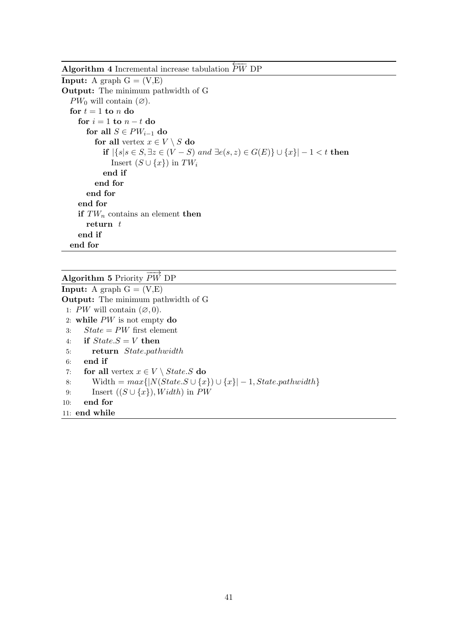Algorithm 4 Incremental increase tabulation  $\overleftarrow{PW}$  DP

**Input:** A graph  $G = (V,E)$ Output: The minimum pathwidth of G  $PW_0$  will contain  $(\emptyset)$ . for  $t = 1$  to n do for  $i = 1$  to  $n - t$  do for all  $S \in PW_{i-1}$  do for all vertex  $x \in V \setminus S$  do **if**  $|\{s|s \in S, \exists z \in (V - S) \text{ and } \exists e(s, z) \in G(E)\} \cup \{x\}| - 1 < t \text{ then}$ Insert  $(S \cup \{x\})$  in  $TW_i$ end if end for end for end for if  $TW_n$  contains an element then return  $t$ end if end for

```
Algorithm 5 Priority \overrightarrow{PW} DP
```
**Input:** A graph  $G = (V, E)$ Output: The minimum pathwidth of G 1: PW will contain  $(\emptyset, 0)$ . 2: while PW is not empty do 3:  $State = PW$  first element 4: if  $State.S = V$  then 5: return State.pathwidth 6: end if 7: for all vertex  $x \in V \setminus State.S$  do 8: Width =  $max\{|N(State.S \cup \{x\}) \cup \{x\}| - 1, State.pathwidth\}$ 9: Insert  $((S \cup \{x\}), Width)$  in PW 10: end for 11: end while